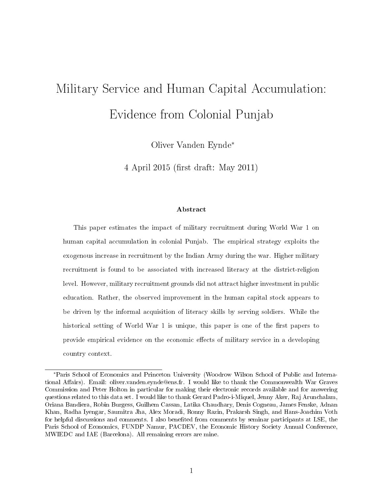# Military Service and Human Capital Accumulation: Evidence from Colonial Punjab

Oliver Vanden Eynde<sup>∗</sup>

4 April 2015 (first draft: May 2011)

#### Abstract

This paper estimates the impact of military recruitment during World War 1 on human capital accumulation in colonial Punjab. The empirical strategy exploits the exogenous increase in recruitment by the Indian Army during the war. Higher military recruitment is found to be associated with increased literacy at the district-religion level. However, military recruitment grounds did not attract higher investment in public education. Rather, the observed improvement in the human capital stock appears to be driven by the informal acquisition of literacy skills by serving soldiers. While the historical setting of World War 1 is unique, this paper is one of the first papers to provide empirical evidence on the economic effects of military service in a developing country context.

<sup>∗</sup>Paris School of Economics and Princeton University (Woodrow Wilson School of Public and International Affairs). Email: oliver.vanden.eynde@ens.fr. I would like to thank the Commonwealth War Graves Commission and Peter Holton in particular for making their electronic records available and for answering questions related to this data set. I would like to thank Gerard Padro-i-Miquel, Jenny Aker, Raj Arunchalam, Oriana Bandiera, Robin Burgess, Guilhem Cassan, Latika Chaudhary, Denis Cogneau, James Fenske, Adnan Khan, Radha Iyengar, Saumitra Jha, Alex Moradi, Ronny Razin, Prakarsh Singh, and Hans-Joachim Voth for helpful discussions and comments. I also benefited from comments by seminar participants at LSE, the Paris School of Economics, FUNDP Namur, PACDEV, the Economic History Society Annual Conference, MWIEDC and IAE (Barcelona). All remaining errors are mine.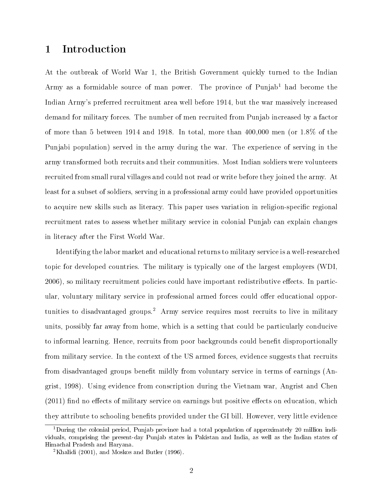# 1 Introduction

At the outbreak of World War 1, the British Government quickly turned to the Indian Army as a formidable source of man power. The province of  $Punjab<sup>1</sup>$  had become the Indian Army's preferred recruitment area well before 1914, but the war massively increased demand for military forces. The number of men recruited from Punjab increased by a factor of more than 5 between 1914 and 1918. In total, more than 400,000 men (or 1.8% of the Punjabi population) served in the army during the war. The experience of serving in the army transformed both recruits and their communities. Most Indian soldiers were volunteers recruited from small rural villages and could not read or write before they joined the army. At least for a subset of soldiers, serving in a professional army could have provided opportunities to acquire new skills such as literacy. This paper uses variation in religion-specific regional recruitment rates to assess whether military service in colonial Punjab can explain changes in literacy after the First World War.

Identifying the labor market and educational returns to military service is a well-researched topic for developed countries. The military is typically one of the largest employers (WDI, 2006), so military recruitment policies could have important redistributive effects. In particular, voluntary military service in professional armed forces could offer educational opportunities to disadvantaged groups.<sup>2</sup> Army service requires most recruits to live in military units, possibly far away from home, which is a setting that could be particularly conducive to informal learning. Hence, recruits from poor backgrounds could benefit disproportionally from military service. In the context of the US armed forces, evidence suggests that recruits from disadvantaged groups benefit mildly from voluntary service in terms of earnings (Angrist, 1998). Using evidence from conscription during the Vietnam war, Angrist and Chen  $(2011)$  find no effects of military service on earnings but positive effects on education, which they attribute to schooling benets provided under the GI bill. However, very little evidence

<sup>&</sup>lt;sup>1</sup>During the colonial period, Punjab province had a total population of approximately 20 million individuals, comprising the present-day Punjab states in Pakistan and India, as well as the Indian states of Himachal Pradesh and Haryana.

<sup>2</sup>Khalidi (2001), and Moskos and Butler (1996).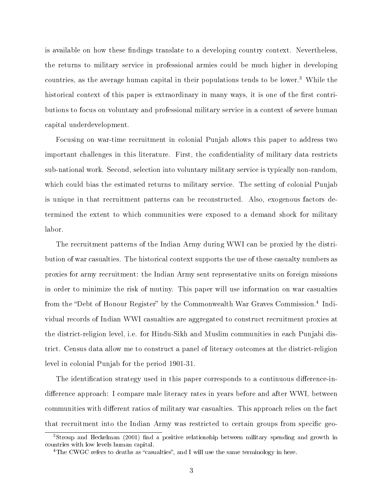is available on how these findings translate to a developing country context. Nevertheless, the returns to military service in professional armies could be much higher in developing countries, as the average human capital in their populations tends to be lower.<sup>3</sup> While the historical context of this paper is extraordinary in many ways, it is one of the first contributions to focus on voluntary and professional military service in a context of severe human capital underdevelopment.

Focusing on war-time recruitment in colonial Punjab allows this paper to address two important challenges in this literature. First, the confidentiality of military data restricts sub-national work. Second, selection into voluntary military service is typically non-random, which could bias the estimated returns to military service. The setting of colonial Punjab is unique in that recruitment patterns can be reconstructed. Also, exogenous factors determined the extent to which communities were exposed to a demand shock for military labor.

The recruitment patterns of the Indian Army during WWI can be proxied by the distribution of war casualties. The historical context supports the use of these casualty numbers as proxies for army recruitment: the Indian Army sent representative units on foreign missions in order to minimize the risk of mutiny. This paper will use information on war casualties from the "Debt of Honour Register" by the Commonwealth War Graves Commission.<sup>4</sup> Individual records of Indian WWI casualties are aggregated to construct recruitment proxies at the district-religion level, i.e. for Hindu-Sikh and Muslim communities in each Punjabi district. Census data allow me to construct a panel of literacy outcomes at the district-religion level in colonial Punjab for the period 1901-31.

The identification strategy used in this paper corresponds to a continuous difference-indifference approach: I compare male literacy rates in years before and after WWI, between communities with different ratios of military war casualties. This approach relies on the fact that recruitment into the Indian Army was restricted to certain groups from specific geo-

 $3$ Stroup and Heckelman (2001) find a positive relationship between military spending and growth in countries with low levels human capital.

<sup>&</sup>lt;sup>4</sup>The CWGC refers to deaths as "casualties", and I will use the same terminology in here.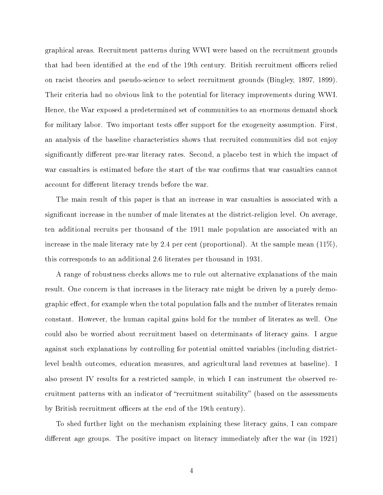graphical areas. Recruitment patterns during WWI were based on the recruitment grounds that had been identified at the end of the 19th century. British recruitment officers relied on racist theories and pseudo-science to select recruitment grounds (Bingley, 1897, 1899). Their criteria had no obvious link to the potential for literacy improvements during WWI. Hence, the War exposed a predetermined set of communities to an enormous demand shock for military labor. Two important tests offer support for the exogeneity assumption. First, an analysis of the baseline characteristics shows that recruited communities did not enjoy significantly different pre-war literacy rates. Second, a placebo test in which the impact of war casualties is estimated before the start of the war confirms that war casualties cannot account for different literacy trends before the war.

The main result of this paper is that an increase in war casualties is associated with a significant increase in the number of male literates at the district-religion level. On average, ten additional recruits per thousand of the 1911 male population are associated with an increase in the male literacy rate by 2.4 per cent (proportional). At the sample mean  $(11\%)$ , this corresponds to an additional 2.6 literates per thousand in 1931.

A range of robustness checks allows me to rule out alternative explanations of the main result. One concern is that increases in the literacy rate might be driven by a purely demographic effect, for example when the total population falls and the number of literates remain constant. However, the human capital gains hold for the number of literates as well. One could also be worried about recruitment based on determinants of literacy gains. I argue against such explanations by controlling for potential omitted variables (including districtlevel health outcomes, education measures, and agricultural land revenues at baseline). I also present IV results for a restricted sample, in which I can instrument the observed recruitment patterns with an indicator of "recruitment suitability" (based on the assessments by British recruitment officers at the end of the 19th century).

To shed further light on the mechanism explaining these literacy gains, I can compare different age groups. The positive impact on literacy immediately after the war (in 1921)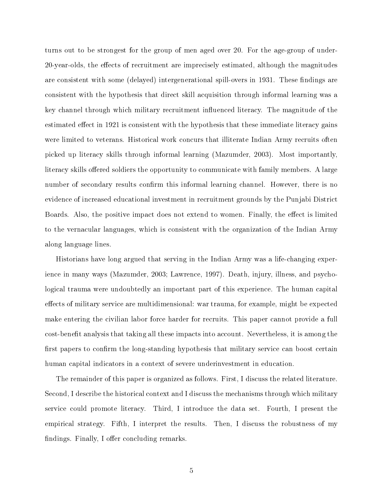turns out to be strongest for the group of men aged over 20. For the age-group of under-20-year-olds, the effects of recruitment are imprecisely estimated, although the magnitudes are consistent with some (delayed) intergenerational spill-overs in 1931. These findings are consistent with the hypothesis that direct skill acquisition through informal learning was a key channel through which military recruitment influenced literacy. The magnitude of the estimated effect in 1921 is consistent with the hypothesis that these immediate literacy gains were limited to veterans. Historical work concurs that illiterate Indian Army recruits often picked up literacy skills through informal learning (Mazumder, 2003). Most importantly, literacy skills offered soldiers the opportunity to communicate with family members. A large number of secondary results confirm this informal learning channel. However, there is no evidence of increased educational investment in recruitment grounds by the Punjabi District Boards. Also, the positive impact does not extend to women. Finally, the effect is limited to the vernacular languages, which is consistent with the organization of the Indian Army along language lines.

Historians have long argued that serving in the Indian Army was a life-changing experience in many ways (Mazumder, 2003; Lawrence, 1997). Death, injury, illness, and psychological trauma were undoubtedly an important part of this experience. The human capital effects of military service are multidimensional: war trauma, for example, might be expected make entering the civilian labor force harder for recruits. This paper cannot provide a full cost-benefit analysis that taking all these impacts into account. Nevertheless, it is among the first papers to confirm the long-standing hypothesis that military service can boost certain human capital indicators in a context of severe underinvestment in education.

The remainder of this paper is organized as follows. First, I discuss the related literature. Second, I describe the historical context and I discuss the mechanisms through which military service could promote literacy. Third, I introduce the data set. Fourth, I present the empirical strategy. Fifth, I interpret the results. Then, I discuss the robustness of my findings. Finally, I offer concluding remarks.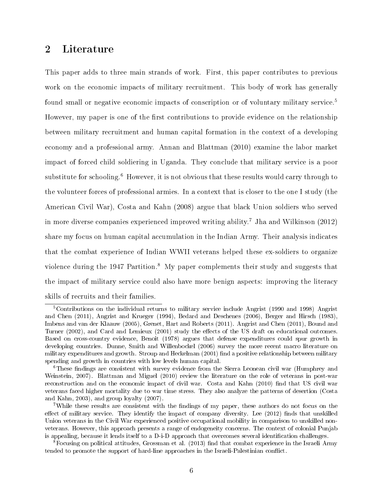# 2 Literature

This paper adds to three main strands of work. First, this paper contributes to previous work on the economic impacts of military recruitment. This body of work has generally found small or negative economic impacts of conscription or of voluntary military service.<sup>5</sup> However, my paper is one of the first contributions to provide evidence on the relationship between military recruitment and human capital formation in the context of a developing economy and a professional army. Annan and Blattman (2010) examine the labor market impact of forced child soldiering in Uganda. They conclude that military service is a poor substitute for schooling.<sup>6</sup> However, it is not obvious that these results would carry through to the volunteer forces of professional armies. In a context that is closer to the one I study (the American Civil War), Costa and Kahn (2008) argue that black Union soldiers who served in more diverse companies experienced improved writing ability.<sup>7</sup> Jha and Wilkinson  $(2012)$ share my focus on human capital accumulation in the Indian Army. Their analysis indicates that the combat experience of Indian WWII veterans helped these ex-soldiers to organize violence during the 1947 Partition.<sup>8</sup> My paper complements their study and suggests that the impact of military service could also have more benign aspects: improving the literacy skills of recruits and their families.

<sup>5</sup>Contributions on the individual returns to military service include Angrist (1990 and 1998) Angrist and Chen (2011), Angrist and Krueger (1994), Bedard and Deschenes (2006), Berger and Hirsch (1983), Imbens and van der Klaauw (2005), Grenet, Hart and Roberts (2011). Angrist and Chen (2011), Bound and Turner (2002), and Card and Lemieux (2001) study the effects of the US draft on educational outcomes. Based on cross-country evidence, Benoit (1978) argues that defense expenditures could spur growth in developing countries. Dunne, Smith and Willenbockel (2006) survey the more recent macro literature on military expenditures and growth. Stroup and Heckelman (2001) find a positive relationship between military spending and growth in countries with low levels human capital.

 $6$ These findings are consistent with survey evidence from the Sierra Leonean civil war (Humphrey and Weinstein, 2007). Blattman and Miguel (2010) review the literature on the role of veterans in post-war reconstruction and on the economic impact of civil war. Costa and Kahn (2010) find that US civil war veterans faced higher mortality due to war time stress. They also analyze the patterns of desertion (Costa and Kahn, 2003), and group loyalty (2007).

<sup>&</sup>lt;sup>7</sup>While these results are consistent with the findings of my paper, these authors do not focus on the effect of military service. They identify the impact of company diversity. Lee  $(2012)$  finds that unskilled Union veterans in the Civil War experienced positive occupational mobility in comparison to unskilled nonveterans. However, this approach presents a range of endogeneity concerns. The context of colonial Punjab is appealing, because it lends itself to a D-i-D approach that overcomes several identification challenges.

 $8$ Focusing on political attitudes, Grossman et al. (2013) find that combat experience in the Israeli Army tended to promote the support of hard-line approaches in the Israeli-Palestinian conflict.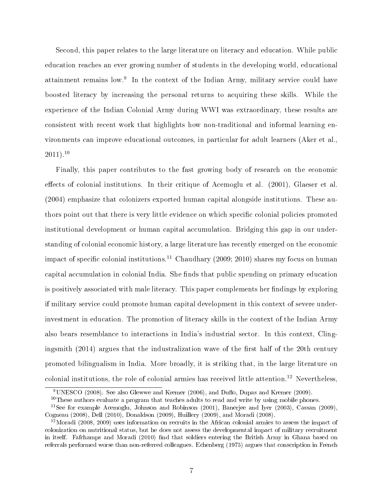Second, this paper relates to the large literature on literacy and education. While public education reaches an ever growing number of students in the developing world, educational attainment remains low.<sup>9</sup> In the context of the Indian Army, military service could have boosted literacy by increasing the personal returns to acquiring these skills. While the experience of the Indian Colonial Army during WWI was extraordinary, these results are consistent with recent work that highlights how non-traditional and informal learning environments can improve educational outcomes, in particular for adult learners (Aker et al.,  $2011$ ).<sup>10</sup>

Finally, this paper contributes to the fast growing body of research on the economic effects of colonial institutions. In their critique of Acemoglu et al.  $(2001)$ , Glaeser et al. (2004) emphasize that colonizers exported human capital alongside institutions. These authors point out that there is very little evidence on which specific colonial policies promoted institutional development or human capital accumulation. Bridging this gap in our understanding of colonial economic history, a large literature has recently emerged on the economic impact of specific colonial institutions.<sup>11</sup> Chaudhary (2009; 2010) shares my focus on human capital accumulation in colonial India. She finds that public spending on primary education is positively associated with male literacy. This paper complements her findings by exploring if military service could promote human capital development in this context of severe underinvestment in education. The promotion of literacy skills in the context of the Indian Army also bears resemblance to interactions in India's industrial sector. In this context, Clingingsmith  $(2014)$  argues that the industralization wave of the first half of the 20th century promoted bilingualism in India. More broadly, it is striking that, in the large literature on colonial institutions, the role of colonial armies has received little attention.<sup>12</sup> Nevertheless,

 $\overline{^{9}$ UNESCO (2008). See also Glewwe and Kremer (2006), and Duflo, Dupas and Kremer (2009).

 $10$ These authors evaluate a program that teaches adults to read and write by using mobile phones.

<sup>&</sup>lt;sup>11</sup>See for example Acemoglu, Johnson and Robinson (2001), Banerjee and Iyer (2003), Cassan (2009), Cogneau (2008), Dell (2010), Donaldson (2009), Huillery (2009), and Moradi (2008).

 $12$ Moradi (2008, 2009) uses information on recruits in the African colonial armies to assess the impact of colonization on nutritional status, but he does not assess the developmental impact of military recruitment in itself. Fafchamps and Moradi (2010) find that soldiers entering the British Army in Ghana based on referrals performed worse than non-referred colleagues. Echenberg (1975) argues that conscription in French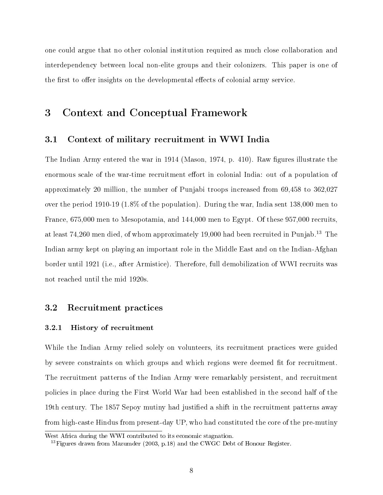one could argue that no other colonial institution required as much close collaboration and interdependency between local non-elite groups and their colonizers. This paper is one of the first to offer insights on the developmental effects of colonial army service.

# 3 Context and Conceptual Framework

## 3.1 Context of military recruitment in WWI India

The Indian Army entered the war in 1914 (Mason, 1974, p. 410). Raw figures illustrate the enormous scale of the war-time recruitment effort in colonial India: out of a population of approximately 20 million, the number of Punjabi troops increased from 69,458 to 362,027 over the period 1910-19 (1.8% of the population). During the war, India sent 138,000 men to France, 675,000 men to Mesopotamia, and 144,000 men to Egypt. Of these 957,000 recruits, at least 74,260 men died, of whom approximately 19,000 had been recruited in Punjab.<sup>13</sup> The Indian army kept on playing an important role in the Middle East and on the Indian-Afghan border until 1921 (i.e., after Armistice). Therefore, full demobilization of WWI recruits was not reached until the mid 1920s.

## 3.2 Recruitment practices

#### 3.2.1 History of recruitment

While the Indian Army relied solely on volunteers, its recruitment practices were guided by severe constraints on which groups and which regions were deemed fit for recruitment. The recruitment patterns of the Indian Army were remarkably persistent, and recruitment policies in place during the First World War had been established in the second half of the 19th century. The 1857 Sepoy mutiny had justified a shift in the recruitment patterns away from high-caste Hindus from present-day UP, who had constituted the core of the pre-mutiny

West Africa during the WWI contributed to its economic stagnation.

 $^{13}$ Figures drawn from Mazumder (2003, p.18) and the CWGC Debt of Honour Register.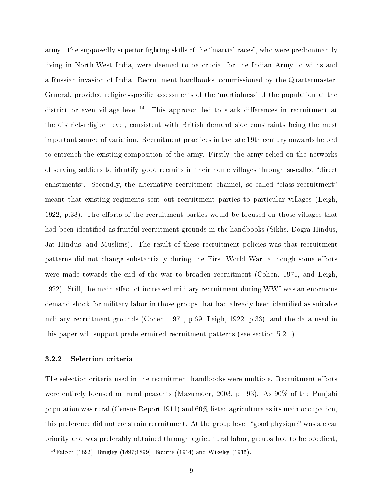army. The supposedly superior fighting skills of the "martial races", who were predominantly living in North-West India, were deemed to be crucial for the Indian Army to withstand a Russian invasion of India. Recruitment handbooks, commissioned by the Quartermaster-General, provided religion-specific assessments of the 'martialness' of the population at the district or even village level.<sup>14</sup> This approach led to stark differences in recruitment at the district-religion level, consistent with British demand side constraints being the most important source of variation. Recruitment practices in the late 19th century onwards helped to entrench the existing composition of the army. Firstly, the army relied on the networks of serving soldiers to identify good recruits in their home villages through so-called "direct" enlistments". Secondly, the alternative recruitment channel, so-called "class recruitment" meant that existing regiments sent out recruitment parties to particular villages (Leigh, 1922, p.33). The efforts of the recruitment parties would be focused on those villages that had been identified as fruitful recruitment grounds in the handbooks (Sikhs, Dogra Hindus, Jat Hindus, and Muslims). The result of these recruitment policies was that recruitment patterns did not change substantially during the First World War, although some efforts were made towards the end of the war to broaden recruitment (Cohen, 1971, and Leigh, 1922). Still, the main effect of increased military recruitment during WWI was an enormous demand shock for military labor in those groups that had already been identified as suitable military recruitment grounds (Cohen, 1971, p.69; Leigh, 1922, p.33), and the data used in this paper will support predetermined recruitment patterns (see section 5.2.1).

#### 3.2.2 Selection criteria

The selection criteria used in the recruitment handbooks were multiple. Recruitment efforts were entirely focused on rural peasants (Mazumder, 2003, p. 93). As 90% of the Punjabi population was rural (Census Report 1911) and 60% listed agriculture as its main occupation, this preference did not constrain recruitment. At the group level, "good physique" was a clear priority and was preferably obtained through agricultural labor, groups had to be obedient,

 $\frac{14 \text{Falcon}}{14 \text{Falcon}}$  (1892), Bingley (1897;1899), Bourne (1914) and Wikeley (1915).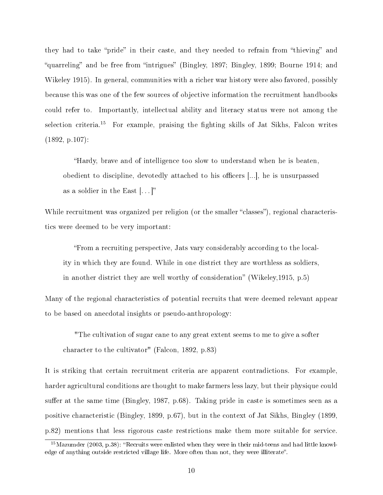they had to take "pride" in their caste, and they needed to refrain from "thieving" and "quarreling" and be free from "intrigues" (Bingley, 1897; Bingley, 1899; Bourne 1914; and Wikeley 1915). In general, communities with a richer war history were also favored, possibly because this was one of the few sources of objective information the recruitment handbooks could refer to. Importantly, intellectual ability and literacy status were not among the selection criteria.<sup>15</sup> For example, praising the fighting skills of Jat Sikhs, Falcon writes (1892, p.107):

Hardy, brave and of intelligence too slow to understand when he is beaten, obedient to discipline, devotedly attached to his officers [...], he is unsurpassed as a soldier in the East  $[...]$ "

While recruitment was organized per religion (or the smaller "classes"), regional characteristics were deemed to be very important:

From a recruiting perspective, Jats vary considerably according to the locality in which they are found. While in one district they are worthless as soldiers, in another district they are well worthy of consideration" (Wikeley,  $1915$ , p.5)

Many of the regional characteristics of potential recruits that were deemed relevant appear to be based on anecdotal insights or pseudo-anthropology:

"The cultivation of sugar cane to any great extent seems to me to give a softer character to the cultivator" (Falcon, 1892, p.83)

It is striking that certain recruitment criteria are apparent contradictions. For example, harder agricultural conditions are thought to make farmers less lazy, but their physique could suffer at the same time (Bingley, 1987, p.68). Taking pride in caste is sometimes seen as a positive characteristic (Bingley, 1899, p.67), but in the context of Jat Sikhs, Bingley (1899, p.82) mentions that less rigorous caste restrictions make them more suitable for service.

 $15$ Mazumder (2003, p.38): "Recruits were enlisted when they were in their mid-teens and had little knowledge of anything outside restricted village life. More often than not, they were illiterate".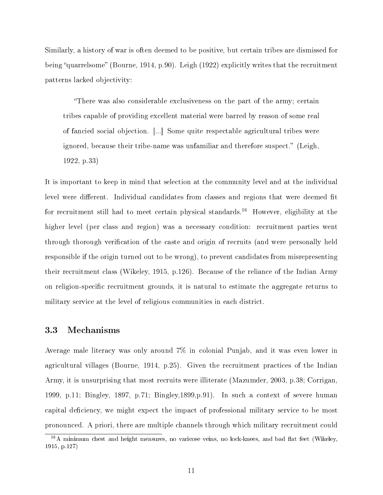Similarly, a history of war is often deemed to be positive, but certain tribes are dismissed for being "quarrelsome" (Bourne, 1914, p.90). Leigh (1922) explicitly writes that the recruitment patterns lacked objectivity:

There was also considerable exclusiveness on the part of the army; certain tribes capable of providing excellent material were barred by reason of some real of fancied social objection. [...] Some quite respectable agricultural tribes were ignored, because their tribe-name was unfamiliar and therefore suspect." (Leigh, 1922, p.33)

It is important to keep in mind that selection at the community level and at the individual level were different. Individual candidates from classes and regions that were deemed fit for recruitment still had to meet certain physical standards.<sup>16</sup> However, eligibility at the higher level (per class and region) was a necessary condition: recruitment parties went through thorough verification of the caste and origin of recruits (and were personally held responsible if the origin turned out to be wrong), to prevent candidates from misrepresenting their recruitment class (Wikeley, 1915, p.126). Because of the reliance of the Indian Army on religion-specific recruitment grounds, it is natural to estimate the aggregate returns to military service at the level of religious communities in each district.

## 3.3 Mechanisms

Average male literacy was only around 7% in colonial Punjab, and it was even lower in agricultural villages (Bourne, 1914, p.25). Given the recruitment practices of the Indian Army, it is unsurprising that most recruits were illiterate (Mazumder, 2003, p.38; Corrigan, 1999, p.11; Bingley, 1897, p.71; Bingley,1899,p.91). In such a context of severe human capital deficiency, we might expect the impact of professional military service to be most pronounced. A priori, there are multiple channels through which military recruitment could

 $16A$  minimum chest and height measures, no varicose veins, no lock-knees, and bad flat feet (Wikeley, 1915, p.127)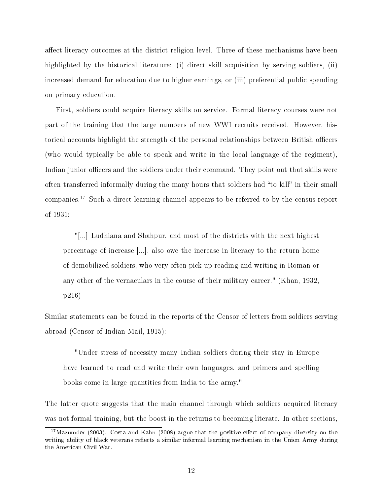affect literacy outcomes at the district-religion level. Three of these mechanisms have been highlighted by the historical literature: (i) direct skill acquisition by serving soldiers, (ii) increased demand for education due to higher earnings, or (iii) preferential public spending on primary education.

First, soldiers could acquire literacy skills on service. Formal literacy courses were not part of the training that the large numbers of new WWI recruits received. However, historical accounts highlight the strength of the personal relationships between British officers (who would typically be able to speak and write in the local language of the regiment), Indian junior officers and the soldiers under their command. They point out that skills were often transferred informally during the many hours that soldiers had "to kill" in their small companies.<sup>17</sup> Such a direct learning channel appears to be referred to by the census report of 1931:

"[...] Ludhiana and Shahpur, and most of the districts with the next highest percentage of increase [...], also owe the increase in literacy to the return home of demobilized soldiers, who very often pick up reading and writing in Roman or any other of the vernaculars in the course of their military career." (Khan, 1932, p216)

Similar statements can be found in the reports of the Censor of letters from soldiers serving abroad (Censor of Indian Mail, 1915):

"Under stress of necessity many Indian soldiers during their stay in Europe have learned to read and write their own languages, and primers and spelling books come in large quantities from India to the army."

The latter quote suggests that the main channel through which soldiers acquired literacy was not formal training, but the boost in the returns to becoming literate. In other sections,

 $17$ Mazumder (2003). Costa and Kahn (2008) argue that the positive effect of company diversity on the writing ability of black veterans reflects a similar informal learning mechanism in the Union Army during the American Civil War.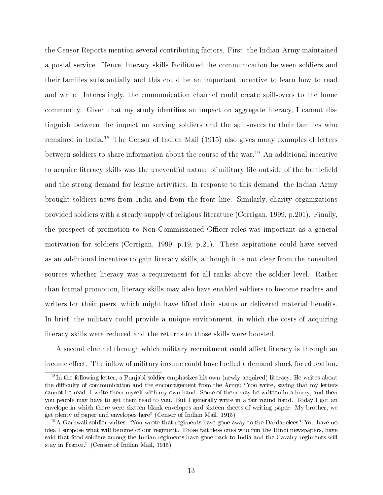the Censor Reports mention several contributing factors. First, the Indian Army maintained a postal service. Hence, literacy skills facilitated the communication between soldiers and their families substantially and this could be an important incentive to learn how to read and write. Interestingly, the communication channel could create spill-overs to the home community. Given that my study identifies an impact on aggregate literacy, I cannot distinguish between the impact on serving soldiers and the spill-overs to their families who remained in India.<sup>18</sup> The Censor of Indian Mail (1915) also gives many examples of letters between soldiers to share information about the course of the war.<sup>19</sup> An additional incentive to acquire literacy skills was the uneventful nature of military life outside of the battlefield and the strong demand for leisure activities. In response to this demand, the Indian Army brought soldiers news from India and from the front line. Similarly, charity organizations provided soldiers with a steady supply of religious literature (Corrigan, 1999, p.201). Finally, the prospect of promotion to Non-Commissioned Officer roles was important as a general motivation for soldiers (Corrigan, 1999, p.19, p.21). These aspirations could have served as an additional incentive to gain literacy skills, although it is not clear from the consulted sources whether literacy was a requirement for all ranks above the soldier level. Rather than formal promotion, literacy skills may also have enabled soldiers to become readers and writers for their peers, which might have lifted their status or delivered material benefits. In brief, the military could provide a unique environment, in which the costs of acquiring literacy skills were reduced and the returns to those skills were boosted.

A second channel through which military recruitment could affect literacy is through an income effect. The inflow of military income could have fuelled a demand shock for education.

 $18$ In the following letter, a Punjabi soldier emphasizes his own (newly acquired) literacy. He writes about the difficulty of communication and the encouragement from the Army: "You write, saying that my letters cannot be read. I write them myself with my own hand. Some of them may be written in a hurry, and then you people may have to get them read to you. But I generally write in a fair round hand. Today I got an envelope in which there were sixteen blank envelopes and sixteen sheets of writing paper. My brother, we get plenty of paper and envelopes here" (Censor of Indian Mail, 1915)

<sup>&</sup>lt;sup>19</sup>A Garhwali soldier writes: "You wrote that regiments have gone away to the Dardanelees? You have no idea I suppose what will become of our regiment. Those faithless ones who run the Hindi newspapers, have said that food soldiers among the Indian regiments have gone back to India and the Cavalry regiments will stay in France." (Censor of Indian Mail, 1915)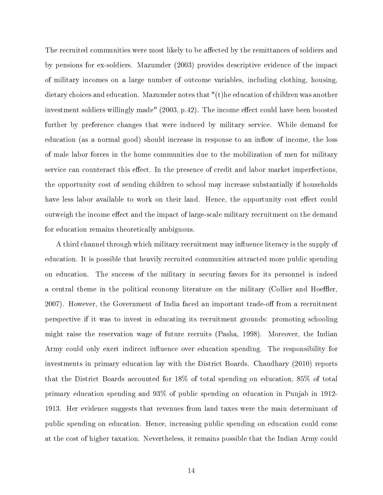The recruited communities were most likely to be affected by the remittances of soldiers and by pensions for ex-soldiers. Mazumder (2003) provides descriptive evidence of the impact of military incomes on a large number of outcome variables, including clothing, housing, dietary choices and education. Mazumder notes that "(t)he education of children was another investment soldiers willingly made" (2003, p.42). The income effect could have been boosted further by preference changes that were induced by military service. While demand for education (as a normal good) should increase in response to an inflow of income, the loss of male labor forces in the home communities due to the mobilization of men for military service can counteract this effect. In the presence of credit and labor market imperfections. the opportunity cost of sending children to school may increase substantially if households have less labor available to work on their land. Hence, the opportunity cost effect could outweigh the income effect and the impact of large-scale military recruitment on the demand for education remains theoretically ambiguous.

A third channel through which military recruitment may influence literacy is the supply of education. It is possible that heavily recruited communities attracted more public spending on education. The success of the military in securing favors for its personnel is indeed a central theme in the political economy literature on the military (Collier and Hoeffler, 2007). However, the Government of India faced an important trade-off from a recruitment perspective if it was to invest in educating its recruitment grounds: promoting schooling might raise the reservation wage of future recruits (Pasha, 1998). Moreover, the Indian Army could only exert indirect influence over education spending. The responsibility for investments in primary education lay with the District Boards. Chaudhary (2010) reports that the District Boards accounted for 18% of total spending on education, 85% of total primary education spending and 93% of public spending on education in Punjab in 1912- 1913. Her evidence suggests that revenues from land taxes were the main determinant of public spending on education. Hence, increasing public spending on education could come at the cost of higher taxation. Nevertheless, it remains possible that the Indian Army could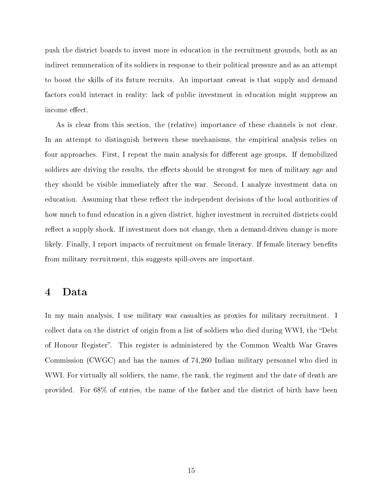push the district boards to invest more in education in the recruitment grounds, both as an indirect remuneration of its soldiers in response to their political pressure and as an attempt to boost the skills of its future recruits. An important caveat is that supply and demand factors could interact in reality: lack of public investment in education might suppress an income effect.

As is clear from this section, the (relative) importance of these channels is not clear. In an attempt to distinguish between these mechanisms, the empirical analysis relies on four approaches. First, I repeat the main analysis for different age groups. If demobilized soldiers are driving the results, the effects should be strongest for men of military age and they should be visible immediately after the war. Second, I analyze investment data on education. Assuming that these reflect the independent decisions of the local authorities of how much to fund education in a given district, higher investment in recruited districts could reflect a supply shock. If investment does not change, then a demand-driven change is more likely. Finally, I report impacts of recruitment on female literacy. If female literacy benefits from military recruitment, this suggests spill-overs are important.

# 4 Data

In my main analysis, I use military war casualties as proxies for military recruitment. I collect data on the district of origin from a list of soldiers who died during WWI, the "Debt" of Honour Register. This register is administered by the Common Wealth War Graves Commission (CWGC) and has the names of 74,260 Indian military personnel who died in WWI. For virtually all soldiers, the name, the rank, the regiment and the date of death are provided. For 68% of entries, the name of the father and the district of birth have been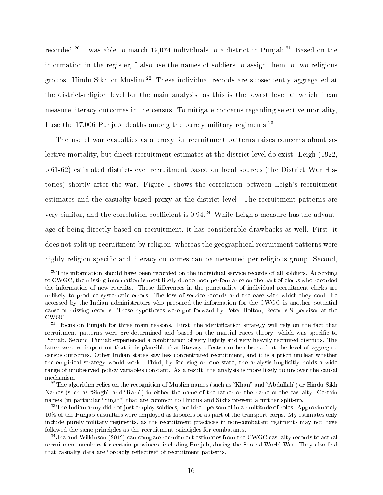recorded.<sup>20</sup> I was able to match 19,074 individuals to a district in Punjab.<sup>21</sup> Based on the information in the register, I also use the names of soldiers to assign them to two religious groups: Hindu-Sikh or Muslim.<sup>22</sup> These individual records are subsequently aggregated at the district-religion level for the main analysis, as this is the lowest level at which I can measure literacy outcomes in the census. To mitigate concerns regarding selective mortality, I use the 17,006 Punjabi deaths among the purely military regiments.<sup>23</sup>

The use of war casualties as a proxy for recruitment patterns raises concerns about selective mortality, but direct recruitment estimates at the district level do exist. Leigh (1922, p.61-62) estimated district-level recruitment based on local sources (the District War Histories) shortly after the war. Figure 1 shows the correlation between Leigh's recruitment estimates and the casualty-based proxy at the district level. The recruitment patterns are very similar, and the correlation coefficient is 0.94.<sup>24</sup> While Leigh's measure has the advantage of being directly based on recruitment, it has considerable drawbacks as well. First, it does not split up recruitment by religion, whereas the geographical recruitment patterns were highly religion specific and literacy outcomes can be measured per religious group. Second,

<sup>&</sup>lt;sup>20</sup>This information should have been recorded on the individual service records of all soldiers. According to CWGC, the missing information is most likely due to poor performance on the part of clerks who recorded the information of new recruits. These differences in the punctuality of individual recruitment clerks are unlikely to produce systematic errors. The loss of service records and the ease with which they could be accessed by the Indian administrators who prepared the information for the CWGC is another potential cause of missing records. These hypotheses were put forward by Peter Holton, Records Supervisor at the CWGC.

 $21$ I focus on Punjab for three main reasons. First, the identification strategy will rely on the fact that recruitment patterns were pre-determined and based on the martial races theory, which was specific to Punjab. Second, Punjab experienced a combination of very lightly and very heavily recruited districts. The latter were so important that it is plausible that literacy effects can be observed at the level of aggregate census outcomes. Other Indian states saw less concentrated recruitment, and it is a priori unclear whether the empirical strategy would work. Third, by focusing on one state, the analysis implicitly holds a wide range of unobserved policy variables constant. As a result, the analysis is more likely to uncover the causal mechanism.

 $22$ The algorithm relies on the recognition of Muslim names (such as "Khan" and "Abdullah") or Hindu-Sikh Names (such as "Singh" and "Ram") in either the name of the father or the name of the casualty. Certain names (in particular "Singh") that are common to Hindus and Sikhs prevent a further split-up.

<sup>&</sup>lt;sup>23</sup>The Indian army did not just employ soldiers, but hired personnel in a multitude of roles. Approximately 10% of the Punjab casualties were employed as laborers or as part of the transport corps. My estimates only include purely military regiments, as the recruitment practices in non-combatant regiments may not have followed the same principles as the recruitment principles for combatants.

<sup>&</sup>lt;sup>24</sup>Jha and Wilkinson (2012) can compare recruitment estimates from the CWGC casualty records to actual recruitment numbers for certain provinces, including Punjab, during the Second World War. They also find that casualty data are "broadly reflective" of recruitment patterns.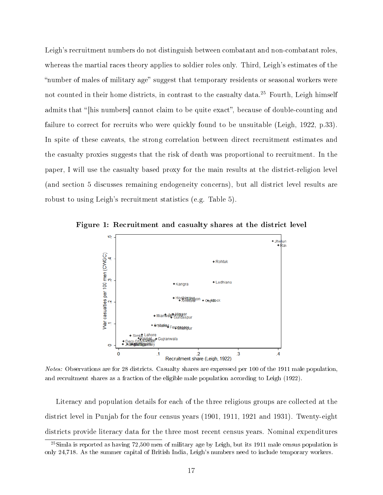Leigh's recruitment numbers do not distinguish between combatant and non-combatant roles, whereas the martial races theory applies to soldier roles only. Third, Leigh's estimates of the "number of males of military age" suggest that temporary residents or seasonal workers were not counted in their home districts, in contrast to the casualty data.<sup>25</sup> Fourth, Leigh himself admits that "[his numbers] cannot claim to be quite exact", because of double-counting and failure to correct for recruits who were quickly found to be unsuitable (Leigh, 1922, p.33). In spite of these caveats, the strong correlation between direct recruitment estimates and the casualty proxies suggests that the risk of death was proportional to recruitment. In the paper, I will use the casualty based proxy for the main results at the district-religion level (and section 5 discusses remaining endogeneity concerns), but all district level results are robust to using Leigh's recruitment statistics (e.g. Table 5).



Figure 1: Recruitment and casualty shares at the district level

Notes: Observations are for 28 districts. Casualty shares are expressed per 100 of the 1911 male population, and recruitment shares as a fraction of the eligible male population according to Leigh (1922).

Literacy and population details for each of the three religious groups are collected at the district level in Punjab for the four census years (1901, 1911, 1921 and 1931). Twenty-eight districts provide literacy data for the three most recent census years. Nominal expenditures

 $^{25}$ Simla is reported as having 72,500 men of military age by Leigh, but its 1911 male census population is only 24,718. As the summer capital of British India, Leigh's numbers need to include temporary workers.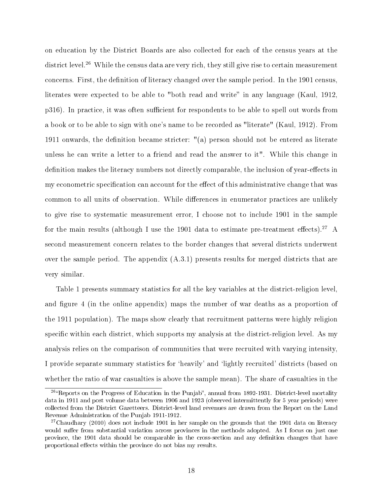on education by the District Boards are also collected for each of the census years at the district level.<sup>26</sup> While the census data are very rich, they still give rise to certain measurement concerns. First, the definition of literacy changed over the sample period. In the 1901 census, literates were expected to be able to "both read and write" in any language (Kaul, 1912, p316). In practice, it was often sufficient for respondents to be able to spell out words from a book or to be able to sign with one's name to be recorded as "literate" (Kaul, 1912). From 1911 onwards, the definition became stricter:  $\mathcal{C}(a)$  person should not be entered as literate unless he can write a letter to a friend and read the answer to it". While this change in definition makes the literacy numbers not directly comparable, the inclusion of year-effects in my econometric specification can account for the effect of this administrative change that was common to all units of observation. While differences in enumerator practices are unlikely to give rise to systematic measurement error, I choose not to include 1901 in the sample for the main results (although I use the 1901 data to estimate pre-treatment effects).<sup>27</sup> A second measurement concern relates to the border changes that several districts underwent over the sample period. The appendix (A.3.1) presents results for merged districts that are very similar.

Table 1 presents summary statistics for all the key variables at the district-religion level, and figure 4 (in the online appendix) maps the number of war deaths as a proportion of the 1911 population). The maps show clearly that recruitment patterns were highly religion specific within each district, which supports my analysis at the district-religion level. As my analysis relies on the comparison of communities that were recruited with varying intensity, I provide separate summary statistics for `heavily' and `lightly recruited' districts (based on whether the ratio of war casualties is above the sample mean). The share of casualties in the

<sup>&</sup>lt;sup>26</sup>"Reports on the Progress of Education in the Punjab", annual from 1892-1931. District-level mortality data in 1911 and post volume data between 1906 and 1923 (observed intermittently for 5 year periods) were collected from the District Gazetteers. District-level land revenues are drawn from the Report on the Land Revenue Administration of the Punjab 1911-1912.

 $27$ Chaudhary (2010) does not include 1901 in her sample on the grounds that the 1901 data on literacy would suffer from substantial variation across provinces in the methods adopted. As I focus on just one province, the 1901 data should be comparable in the cross-section and any denition changes that have proportional effects within the province do not bias my results.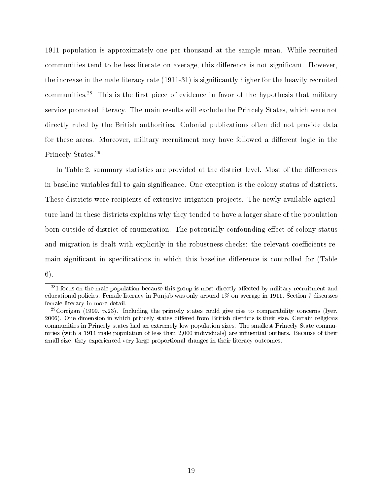1911 population is approximately one per thousand at the sample mean. While recruited communities tend to be less literate on average, this difference is not significant. However, the increase in the male literacy rate (1911-31) is signicantly higher for the heavily recruited communities.<sup>28</sup> This is the first piece of evidence in favor of the hypothesis that military service promoted literacy. The main results will exclude the Princely States, which were not directly ruled by the British authorities. Colonial publications often did not provide data for these areas. Moreover, military recruitment may have followed a different logic in the Princely States.<sup>29</sup>

In Table 2, summary statistics are provided at the district level. Most of the differences in baseline variables fail to gain significance. One exception is the colony status of districts. These districts were recipients of extensive irrigation projects. The newly available agriculture land in these districts explains why they tended to have a larger share of the population born outside of district of enumeration. The potentially confounding effect of colony status and migration is dealt with explicitly in the robustness checks: the relevant coefficients remain significant in specifications in which this baseline difference is controlled for (Table 6).

 $^{28}$ I focus on the male population because this group is most directly affected by military recruitment and educational policies. Female literacy in Punjab was only around 1% on average in 1911. Section 7 discusses female literacy in more detail.

 $^{29}$ Corrigan (1999, p.23). Including the princely states could give rise to comparability concerns (Iyer, 2006). One dimension in which princely states differed from British districts is their size. Certain religious communities in Princely states had an extremely low population sizes. The smallest Princely State communities (with a 1911 male population of less than 2,000 individuals) are influential outliers. Because of their small size, they experienced very large proportional changes in their literacy outcomes.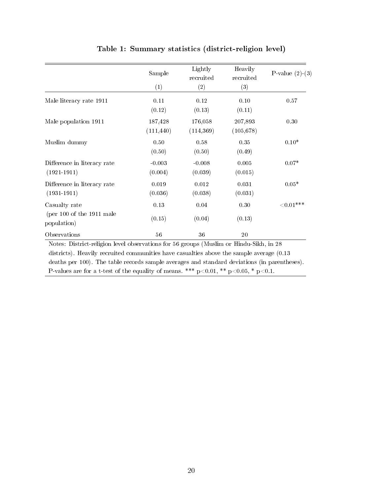|                                                               | Sample                | Lightly<br>recruited  | Heavily<br>recruited  | P-value $(2)-(3)$ |
|---------------------------------------------------------------|-----------------------|-----------------------|-----------------------|-------------------|
|                                                               | (1)                   | (2)                   | (3)                   |                   |
| Male literacy rate 1911                                       | 0.11<br>(0.12)        | 0.12<br>(0.13)        | 0.10<br>(0.11)        | 0.57              |
| Male population 1911                                          | 187,428<br>(111, 440) | 176,058<br>(114, 369) | 207,893<br>(105, 678) | 0.30              |
| Muslim dummy                                                  | 0.50<br>(0.50)        | 0.58<br>(0.50)        | 0.35<br>(0.49)        | $0.10*$           |
| Difference in literacy rate<br>$(1921 - 1911)$                | $-0.003$<br>(0.004)   | $-0.008$<br>(0.039)   | 0.005<br>(0.015)      | $0.07*$           |
| Difference in literacy rate<br>$(1931 - 1911)$                | 0.019<br>(0.036)      | 0.012<br>(0.038)      | 0.031<br>(0.031)      | $0.05*$           |
| Casualty rate<br>(per $100$ of the $1911$ male<br>population) | 0.13<br>(0.15)        | 0.04<br>(0.04)        | 0.30<br>(0.13)        | ${<}0.01***$      |
| Observations                                                  | 56                    | 36                    | 20                    |                   |

Table 1: Summary statistics (district-religion level)

Notes: District-religion level observations for 56 groups (Muslim or Hindu-Sikh, in 28 districts). Heavily recruited communities have casualties above the sample average (0.13 deaths per 100). The table records sample averages and standard deviations (in parentheses). P-values are for a t-test of the equality of means. \*\*\* p<0.01, \*\* p<0.05, \* p<0.1.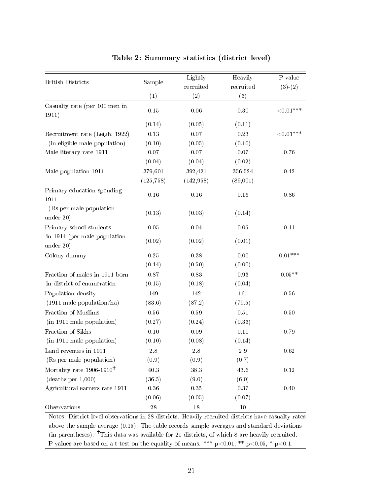| <b>British Districts</b>                  | Sample      | Lightly<br>recruited | Heavily<br>recruited | P-value<br>$(3)-(2)$ |
|-------------------------------------------|-------------|----------------------|----------------------|----------------------|
|                                           | (1)         | (2)                  | (3)                  |                      |
| Casualty rate (per 100 men in<br>1911)    | 0.15        | 0.06                 | 0.30                 | ${<}0.01***$         |
|                                           | (0.14)      | (0.05)               | (0.11)               |                      |
| Recruitment rate (Leigh, 1922)            | 0.13        | 0.07                 | 0.23                 | ${<}0.01***$         |
| (in eligible male population)             | (0.10)      | (0.05)               | (0.10)               |                      |
| Male literacy rate 1911                   | 0.07        | $0.07\,$             | 0.07                 | 0.76                 |
|                                           | (0.04)      | (0.04)               | (0.02)               |                      |
| Male population 1911                      | 379,601     | 392,421              | 356,524              | 0.42                 |
|                                           | (125, 758)  | (142, 958)           | (89,001)             |                      |
| Primary education spending<br>1911        | 0.16        | 0.16                 | 0.16                 | 0.86                 |
| (Rs per male population)<br>under 20)     | (0.13)      | (0.03)               | (0.14)               |                      |
| Primary school students                   | 0.05        | $0.04\,$             | $0.05\,$             | $0.11\,$             |
| in 1914 (per male population<br>under 20) | (0.02)      | (0.02)               | (0.01)               |                      |
| Colony dummy                              | 0.25        | 0.38                 | 0.00                 | $0.01***$            |
|                                           | (0.44)      | (0.50)               | (0.00)               |                      |
| Fraction of males in 1911 born            | $0.87\,$    | 0.83                 | 0.93                 | $0.05**$             |
| in district of enumeration                | (0.15)      | (0.18)               | (0.04)               |                      |
| Population density                        | 149         | 142                  | 161                  | 0.56                 |
| $(1911 \text{ male population/ha})$       | (83.6)      | (87.2)               | (79.5)               |                      |
| Fraction of Muslims                       | $0.56\,$    | 0.59                 | $0.51\,$             | 0.50                 |
| (in 1911 male population)                 | (0.27)      | (0.24)               | (0.33)               |                      |
| Fraction of Sikhs                         | 0.10        | $0.09\,$             | 0.11                 | 0.79                 |
| (in 1911 male population)                 | (0.10)      | (0.08)               | (0.14)               |                      |
| Land revenues in 1911                     | $2.8\,$     | $2.8\,$              | $2.9\,$              | 0.62                 |
| (Rs per male population)                  | (0.9)       | (0.9)                | (0.7)                |                      |
| Mortality rate $1906-1910^{\dagger}$      | 40.3        | 38.3                 | 43.6                 | $0.12\,$             |
| (deaths per 1,000)                        | (36.5)      | (9.0)                | (6.0)                |                      |
| Agricultural earners rate 1911            | $0.36\,$    | $0.35\,$             | $0.37\,$             | 0.40                 |
|                                           | (0.06)      | (0.05)               | (0.07)               |                      |
| Observations                              | $\sqrt{28}$ | 18                   | 10                   |                      |

## Table 2: Summary statistics (district level)

Notes: District level observations in 28 districts. Heavily recruited districts have casualty rates above the sample average (0.15). The table records sample averages and standard deviations (in parentheses).  $\dagger$ This data was available for 21 districts, of which 8 are heavily recruited. P-values are based on a t-test on the equality of means. \*\*\* p<0.01, \*\* p<0.05, \* p<0.1.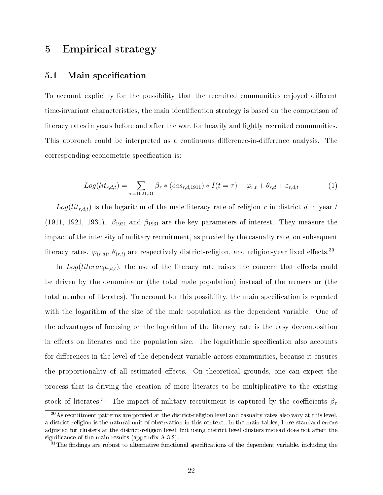# 5 Empirical strategy

## 5.1 Main specification

To account explicitly for the possibility that the recruited communities enjoyed different time-invariant characteristics, the main identification strategy is based on the comparison of literacy rates in years before and after the war, for heavily and lightly recruited communities. This approach could be interpreted as a continuous difference-in-difference analysis. The corresponding econometric specification is:

$$
Log(lit_{r,d,t}) = \sum_{\tau=1921,31} \beta_{\tau} * (cas_{r,d,1911}) * I(t=\tau) + \varphi_{r,t} + \theta_{r,d} + \varepsilon_{r,d,t} \tag{1}
$$

 $Log(lit_{r,d,t})$  is the logarithm of the male literacy rate of religion r in district d in year t (1911, 1921, 1931).  $\beta_{1921}$  and  $\beta_{1931}$  are the key parameters of interest. They measure the impact of the intensity of military recruitment, as proxied by the casualty rate, on subsequent literacy rates.  $\varphi_{(r,d)}, \theta_{(r,t)}$  are respectively district-religion, and religion-year fixed effects.<sup>30</sup>

In  $Log(literacy_{r,d,t})$ , the use of the literacy rate raises the concern that effects could be driven by the denominator (the total male population) instead of the numerator (the total number of literates). To account for this possibility, the main specification is repeated with the logarithm of the size of the male population as the dependent variable. One of the advantages of focusing on the logarithm of the literacy rate is the easy decomposition in effects on literates and the population size. The logarithmic specification also accounts for differences in the level of the dependent variable across communities, because it ensures the proportionality of all estimated effects. On theoretical grounds, one can expect the process that is driving the creation of more literates to be multiplicative to the existing stock of literates.<sup>31</sup> The impact of military recruitment is captured by the coefficients  $\beta_{\tau}$ 

<sup>&</sup>lt;sup>30</sup>As recruitment patterns are proxied at the district-religion level and casualty rates also vary at this level, a district-religion is the natural unit of observation in this context. In the main tables, I use standard errors adjusted for clusters at the district-religion level, but using district level clusters instead does not affect the significance of the main results (appendix  $A.3.2$ ).

 $31$ The findings are robust to alternative functional specifications of the dependent variable, including the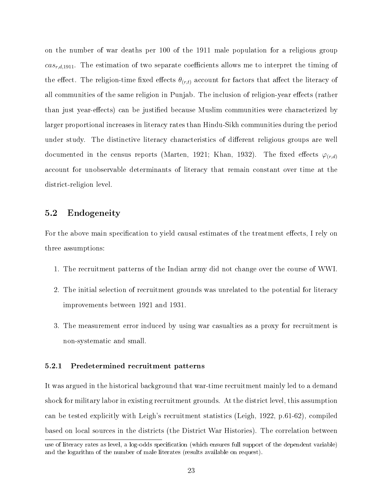on the number of war deaths per 100 of the 1911 male population for a religious group  $cas_{r,d,1911}$ . The estimation of two separate coefficients allows me to interpret the timing of the effect. The religion-time fixed effects  $\theta_{(r,t)}$  account for factors that affect the literacy of all communities of the same religion in Punjab. The inclusion of religion-year effects (rather than just year-effects) can be justified because Muslim communities were characterized by larger proportional increases in literacy rates than Hindu-Sikh communities during the period under study. The distinctive literacy characteristics of different religious groups are well documented in the census reports (Marten, 1921; Khan, 1932). The fixed effects  $\varphi_{(r,d)}$ account for unobservable determinants of literacy that remain constant over time at the district-religion level.

## 5.2 Endogeneity

For the above main specification to yield causal estimates of the treatment effects, I rely on three assumptions:

- 1. The recruitment patterns of the Indian army did not change over the course of WWI.
- 2. The initial selection of recruitment grounds was unrelated to the potential for literacy improvements between 1921 and 1931.
- 3. The measurement error induced by using war casualties as a proxy for recruitment is non-systematic and small.

#### 5.2.1 Predetermined recruitment patterns

It was argued in the historical background that war-time recruitment mainly led to a demand shock for military labor in existing recruitment grounds. At the district level, this assumption can be tested explicitly with Leigh's recruitment statistics (Leigh, 1922, p.61-62), compiled based on local sources in the districts (the District War Histories). The correlation between

use of literacy rates as level, a log-odds specification (which ensures full support of the dependent variable) and the logarithm of the number of male literates (results available on request).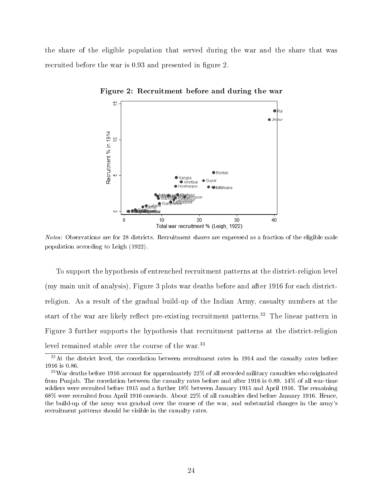the share of the eligible population that served during the war and the share that was recruited before the war is 0.93 and presented in figure 2.



Figure 2: Recruitment before and during the war

Notes: Observations are for 28 districts. Recruitment shares are expressed as a fraction of the eligible male population according to Leigh (1922).

To support the hypothesis of entrenched recruitment patterns at the district-religion level (my main unit of analysis), Figure 3 plots war deaths before and after 1916 for each districtreligion. As a result of the gradual build-up of the Indian Army, casualty numbers at the start of the war are likely reflect pre-existing recruitment patterns.<sup>32</sup> The linear pattern in Figure 3 further supports the hypothesis that recruitment patterns at the district-religion level remained stable over the course of the war.<sup>33</sup>

 $32$ At the district level, the correlation between recruitment rates in 1914 and the casualty rates before 1916 is 0.86.

 $33$ War deaths before 1916 account for approximately  $22\%$  of all recorded military casualties who originated from Punjab. The correlation between the casualty rates before and after 1916 is 0.89. 14% of all war-time soldiers were recruited before 1915 and a further 18% between January 1915 and April 1916. The remaining 68% were recruited from April 1916 onwards. About 22% of all casualties died before January 1916. Hence, the build-up of the army was gradual over the course of the war, and substantial changes in the army's recruitment patterns should be visible in the casualty rates.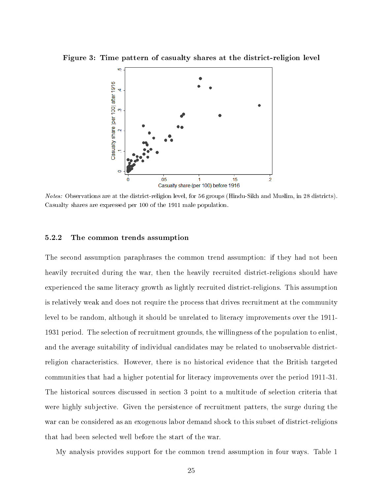Figure 3: Time pattern of casualty shares at the district-religion level



Notes: Observations are at the district-religion level, for 56 groups (Hindu-Sikh and Muslim, in 28 districts). Casualty shares are expressed per 100 of the 1911 male population.

#### 5.2.2 The common trends assumption

The second assumption paraphrases the common trend assumption: if they had not been heavily recruited during the war, then the heavily recruited district-religions should have experienced the same literacy growth as lightly recruited district-religions. This assumption is relatively weak and does not require the process that drives recruitment at the community level to be random, although it should be unrelated to literacy improvements over the 1911- 1931 period. The selection of recruitment grounds, the willingness of the population to enlist, and the average suitability of individual candidates may be related to unobservable districtreligion characteristics. However, there is no historical evidence that the British targeted communities that had a higher potential for literacy improvements over the period 1911-31. The historical sources discussed in section 3 point to a multitude of selection criteria that were highly subjective. Given the persistence of recruitment patters, the surge during the war can be considered as an exogenous labor demand shock to this subset of district-religions that had been selected well before the start of the war.

My analysis provides support for the common trend assumption in four ways. Table 1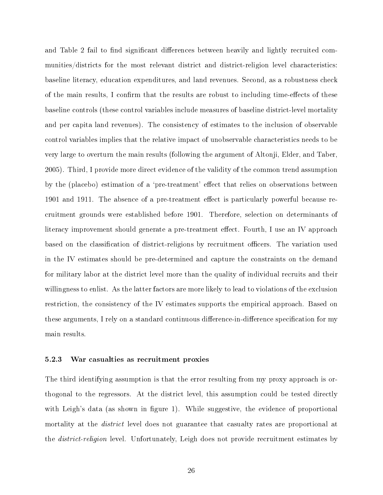and Table 2 fail to find significant differences between heavily and lightly recruited communities/districts for the most relevant district and district-religion level characteristics: baseline literacy, education expenditures, and land revenues. Second, as a robustness check of the main results, I confirm that the results are robust to including time-effects of these baseline controls (these control variables include measures of baseline district-level mortality and per capita land revenues). The consistency of estimates to the inclusion of observable control variables implies that the relative impact of unobservable characteristics needs to be very large to overturn the main results (following the argument of Altonji, Elder, and Taber, 2005). Third, I provide more direct evidence of the validity of the common trend assumption by the (placebo) estimation of a 'pre-treatment' effect that relies on observations between 1901 and 1911. The absence of a pre-treatment effect is particularly powerful because recruitment grounds were established before 1901. Therefore, selection on determinants of literacy improvement should generate a pre-treatment effect. Fourth, I use an IV approach based on the classification of district-religions by recruitment officers. The variation used in the IV estimates should be pre-determined and capture the constraints on the demand for military labor at the district level more than the quality of individual recruits and their willingness to enlist. As the latter factors are more likely to lead to violations of the exclusion restriction, the consistency of the IV estimates supports the empirical approach. Based on these arguments, I rely on a standard continuous difference-in-difference specification for my main results.

#### 5.2.3 War casualties as recruitment proxies

The third identifying assumption is that the error resulting from my proxy approach is orthogonal to the regressors. At the district level, this assumption could be tested directly with Leigh's data (as shown in figure 1). While suggestive, the evidence of proportional mortality at the *district* level does not guarantee that casualty rates are proportional at the district-religion level. Unfortunately, Leigh does not provide recruitment estimates by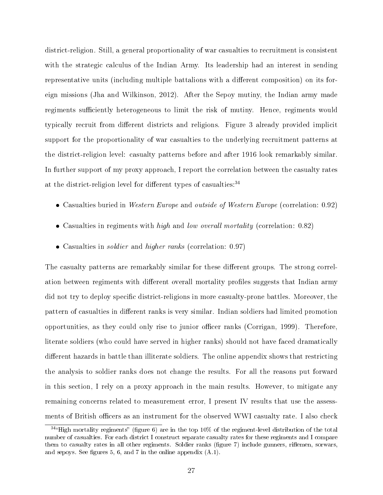district-religion. Still, a general proportionality of war casualties to recruitment is consistent with the strategic calculus of the Indian Army. Its leadership had an interest in sending representative units (including multiple battalions with a different composition) on its foreign missions (Jha and Wilkinson, 2012). After the Sepoy mutiny, the Indian army made regiments sufficiently heterogeneous to limit the risk of mutiny. Hence, regiments would typically recruit from different districts and religions. Figure 3 already provided implicit support for the proportionality of war casualties to the underlying recruitment patterns at the district-religion level: casualty patterns before and after 1916 look remarkably similar. In further support of my proxy approach, I report the correlation between the casualty rates at the district-religion level for different types of casualties:  $34$ 

- Casualties buried in Western Europe and outside of Western Europe (correlation: 0.92)
- Casualties in regiments with *high* and *low overall mortality* (correlation: 0.82)
- Casualties in *soldier* and *higher ranks* (correlation: 0.97)

The casualty patterns are remarkably similar for these different groups. The strong correlation between regiments with different overall mortality profiles suggests that Indian army did not try to deploy specific district-religions in more casualty-prone battles. Moreover, the pattern of casualties in different ranks is very similar. Indian soldiers had limited promotion opportunities, as they could only rise to junior officer ranks (Corrigan, 1999). Therefore, literate soldiers (who could have served in higher ranks) should not have faced dramatically different hazards in battle than illiterate soldiers. The online appendix shows that restricting the analysis to soldier ranks does not change the results. For all the reasons put forward in this section, I rely on a proxy approach in the main results. However, to mitigate any remaining concerns related to measurement error, I present IV results that use the assessments of British officers as an instrument for the observed WWI casualty rate. I also check

 $34$ "High mortality regiments" (figure 6) are in the top 10% of the regiment-level distribution of the total number of casualties. For each district I construct separate casualty rates for these regiments and I compare them to casualty rates in all other regiments. Soldier ranks (figure 7) include gunners, riflemen, sorwars, and sepoys. See figures 5, 6, and 7 in the online appendix  $(A.1)$ .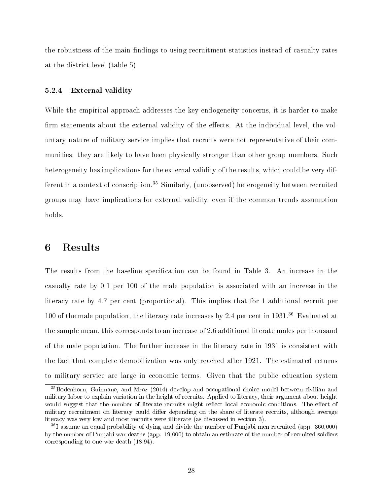the robustness of the main findings to using recruitment statistics instead of casualty rates at the district level (table 5).

#### 5.2.4 External validity

While the empirical approach addresses the key endogeneity concerns, it is harder to make firm statements about the external validity of the effects. At the individual level, the voluntary nature of military service implies that recruits were not representative of their communities: they are likely to have been physically stronger than other group members. Such heterogeneity has implications for the external validity of the results, which could be very different in a context of conscription.<sup>35</sup> Similarly, (unobserved) heterogeneity between recruited groups may have implications for external validity, even if the common trends assumption holds.

# 6 Results

The results from the baseline specification can be found in Table 3. An increase in the casualty rate by 0.1 per 100 of the male population is associated with an increase in the literacy rate by 4.7 per cent (proportional). This implies that for 1 additional recruit per 100 of the male population, the literacy rate increases by 2.4 per cent in 1931.<sup>36</sup> Evaluated at the sample mean, this corresponds to an increase of 2.6 additional literate males per thousand of the male population. The further increase in the literacy rate in 1931 is consistent with the fact that complete demobilization was only reached after 1921. The estimated returns to military service are large in economic terms. Given that the public education system

<sup>&</sup>lt;sup>35</sup>Bodenhorn, Guinnane, and Mroz (2014) develop and occupational choice model between civilian and military labor to explain variation in the height of recruits. Applied to literacy, their argument about height would suggest that the number of literate recruits might reflect local economic conditions. The effect of military recruitment on literacy could differ depending on the share of literate recruits, although average literacy was very low and most recruits were illiterate (as discussed in section 3).

<sup>36</sup>I assume an equal probability of dying and divide the number of Punjabi men recruited (app. 360,000) by the number of Punjabi war deaths (app. 19,000) to obtain an estimate of the number of recruited soldiers corresponding to one war death (18.94).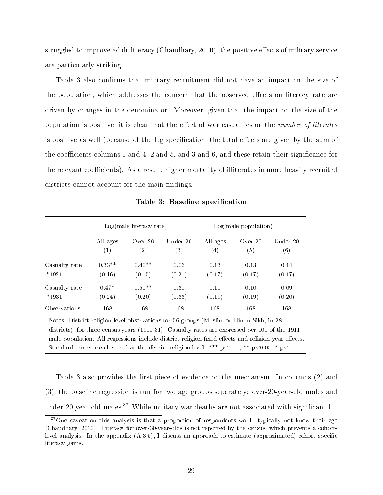struggled to improve adult literacy (Chaudhary,  $2010$ ), the positive effects of military service are particularly striking.

Table 3 also confirms that military recruitment did not have an impact on the size of the population, which addresses the concern that the observed effects on literacy rate are driven by changes in the denominator. Moreover, given that the impact on the size of the population is positive, it is clear that the effect of war casualties on the *number of literates* is positive as well (because of the log specification, the total effects are given by the sum of the coefficients columns 1 and 4, 2 and 5, and 3 and 6, and these retain their significance for the relevant coefficients). As a result, higher mortality of illiterates in more heavily recruited districts cannot account for the main findings.

|               |                   | $Log(male$ literacy rate) |                   | Log(male population) |         |          |
|---------------|-------------------|---------------------------|-------------------|----------------------|---------|----------|
|               | All ages          | Over $20$                 | Under 20          | All ages             | Over 20 | Under 20 |
|               | $\left( 1\right)$ | $\left( 2\right)$         | $\left( 3\right)$ | (4)                  | (5)     | (6)      |
| Casualty rate | $0.33**$          | $0.40**$                  | 0.06              | 0.13                 | 0.13    | 0.14     |
| $*1921$       | (0.16)            | (0.15)                    | (0.21)            | (0.17)               | (0.17)  | (0.17)   |
| Casualty rate | $0.47*$           | $0.50**$                  | 0.30              | 0.10                 | 0.10    | 0.09     |
| $*1931$       | (0.24)            | (0.20)                    | (0.33)            | (0.19)               | (0.19)  | (0.20)   |
| Observations  | 168               | 168                       | 168               | 168                  | 168     | 168      |

Table 3: Baseline specification

Notes: District-religion level observations for 56 groups (Muslim or Hindu-Sikh, in 28 districts), for three census years (1911-31). Casualty rates are expressed per 100 of the 1911 male population. All regressions include district-religion fixed effects and religion-year effects. Standard errors are clustered at the district-religion level. \*\*\*  $p<0.01$ , \*\*  $p<0.05$ , \*  $p<0.1$ .

Table 3 also provides the first piece of evidence on the mechanism. In columns (2) and (3), the baseline regression is run for two age groups separately: over-20-year-old males and under-20-year-old males.<sup>37</sup> While military war deaths are not associated with significant lit-

<sup>&</sup>lt;sup>37</sup>One caveat on this analysis is that a proportion of respondents would typically not know their age (Chaudhary, 2010). Literacy for over-30-year-olds is not reported by the census, which prevents a cohortlevel analysis. In the appendix  $(A.3.5)$ , I discuss an approach to estimate (approximated) cohort-specific literacy gains.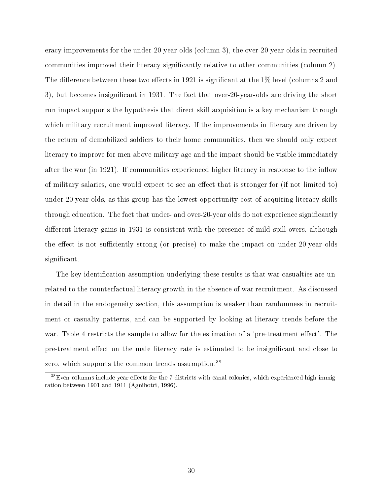eracy improvements for the under-20-year-olds (column 3), the over-20-year-olds in recruited communities improved their literacy significantly relative to other communities (column 2). The difference between these two effects in 1921 is significant at the  $1\%$  level (columns 2 and 3), but becomes insignificant in 1931. The fact that over-20-year-olds are driving the short run impact supports the hypothesis that direct skill acquisition is a key mechanism through which military recruitment improved literacy. If the improvements in literacy are driven by the return of demobilized soldiers to their home communities, then we should only expect literacy to improve for men above military age and the impact should be visible immediately after the war (in 1921). If communities experienced higher literacy in response to the inflow of military salaries, one would expect to see an effect that is stronger for (if not limited to) under-20-year olds, as this group has the lowest opportunity cost of acquiring literacy skills through education. The fact that under- and over-20-year olds do not experience signicantly different literacy gains in 1931 is consistent with the presence of mild spill-overs, although the effect is not sufficiently strong (or precise) to make the impact on under-20-year olds significant.

The key identification assumption underlying these results is that war casualties are unrelated to the counterfactual literacy growth in the absence of war recruitment. As discussed in detail in the endogeneity section, this assumption is weaker than randomness in recruitment or casualty patterns, and can be supported by looking at literacy trends before the war. Table 4 restricts the sample to allow for the estimation of a 'pre-treatment effect'. The pre-treatment effect on the male literacy rate is estimated to be insignificant and close to zero, which supports the common trends assumption.<sup>38</sup>

 $38$ Even columns include year-effects for the 7 districts with canal colonies, which experienced high immigration between 1901 and 1911 (Agnihotri, 1996).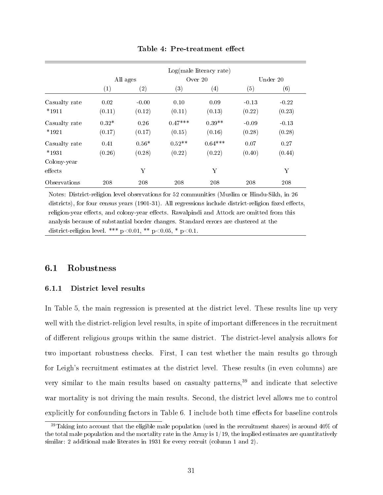|               |         |                   | $Log(male$ literacy rate) |                   |         |          |  |
|---------------|---------|-------------------|---------------------------|-------------------|---------|----------|--|
|               |         | All ages          |                           | Over $20$         |         | Under 20 |  |
|               | (1)     | $\left( 2\right)$ | (3)                       | $\left( 4\right)$ | (5)     | (6)      |  |
| Casualty rate | 0.02    | $-0.00$           | 0.10                      | 0.09              | $-0.13$ | $-0.22$  |  |
| $*1911$       | (0.11)  | (0.12)            | (0.11)                    | (0.13)            | (0.22)  | (0.23)   |  |
| Casualty rate | $0.32*$ | 0.26              | $0.47***$                 | $0.39**$          | $-0.09$ | $-0.13$  |  |
| $*1921$       | (0.17)  | (0.17)            | (0.15)                    | (0.16)            | (0.28)  | (0.28)   |  |
| Casualty rate | 0.41    | $0.56*$           | $0.52**$                  | $0.64***$         | 0.07    | 0.27     |  |
| $*1931$       | (0.26)  | (0.28)            | (0.22)                    | (0.22)            | (0.40)  | (0.44)   |  |
| Colony-year   |         |                   |                           |                   |         |          |  |
| effects       |         | Υ                 |                           | Y                 |         | Y        |  |
| Observations  | 208     | 208               | 208                       | 208               | 208     | 208      |  |

#### Table 4: Pre-treatment effect

Notes: District-religion level observations for 52 communities (Muslim or Hindu-Sikh, in 26 districts), for four census years  $(1901-31)$ . All regressions include district-religion fixed effects, religion-year effects, and colony-year effects. Rawalpindi and Attock are omitted from this analysis because of substantial border changes. Standard errors are clustered at the district-religion level. \*\*\*  $p < 0.01$ , \*\*  $p < 0.05$ , \*  $p < 0.1$ .

## 6.1 Robustness

### 6.1.1 District level results

In Table 5, the main regression is presented at the district level. These results line up very well with the district-religion level results, in spite of important differences in the recruitment of different religious groups within the same district. The district-level analysis allows for two important robustness checks. First, I can test whether the main results go through for Leigh's recruitment estimates at the district level. These results (in even columns) are very similar to the main results based on casualty patterns,<sup>39</sup> and indicate that selective war mortality is not driving the main results. Second, the district level allows me to control explicitly for confounding factors in Table 6. I include both time effects for baseline controls

 $39$ Taking into account that the eligible male population (used in the recruitment shares) is around  $40\%$  of the total male population and the mortality rate in the Army is  $1/19$ , the implied estimates are quantitatively similar: 2 additional male literates in 1931 for every recruit (column 1 and 2).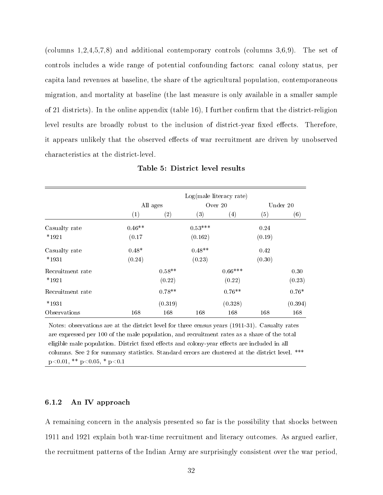(columns 1,2,4,5,7,8) and additional contemporary controls (columns 3,6,9). The set of controls includes a wide range of potential confounding factors: canal colony status, per capita land revenues at baseline, the share of the agricultural population, contemporaneous migration, and mortality at baseline (the last measure is only available in a smaller sample of 21 districts). In the online appendix (table 16), I further confirm that the district-religion level results are broadly robust to the inclusion of district-year fixed effects. Therefore, it appears unlikely that the observed effects of war recruitment are driven by unobserved characteristics at the district-level.

|                  |          |          |           | $Log(male$ literacy rate) |        |          |
|------------------|----------|----------|-----------|---------------------------|--------|----------|
|                  |          | All ages |           | Over 20                   |        | Under 20 |
|                  | (1)      | (2)      | (3)       | $\left( 4\right)$         | (5)    | (6)      |
| Casualty rate    | $0.46**$ |          | $0.53***$ |                           | 0.24   |          |
| $*1921$          | (0.17)   |          | (0.162)   |                           | (0.19) |          |
| Casualty rate    | $0.48*$  |          | $0.48**$  |                           | 0.42   |          |
| $*1931$          | (0.24)   |          | (0.23)    |                           | (0.30) |          |
| Recruitment rate |          | $0.58**$ |           | $0.66***$                 |        | 0.30     |
| $*1921$          |          | (0.22)   |           | (0.22)                    |        | (0.23)   |
| Recruitment rate |          | $0.78**$ |           | $0.76**$                  |        | $0.76*$  |
| $*1931$          |          | (0.319)  |           | (0.328)                   |        | (0.394)  |
| Observations     | 168      | 168      | 168       | 168                       | 168    | 168      |

Table 5: District level results

Notes: observations are at the district level for three census years (1911-31). Casualty rates are expressed per 100 of the male population, and recruitment rates as a share of the total eligible male population. District fixed effects and colony-year effects are included in all columns. See 2 for summary statistics. Standard errors are clustered at the district level. \*\*\*  $p<0.01$ , \*\*  $p<0.05$ , \*  $p<0.1$ 

#### 6.1.2 An IV approach

A remaining concern in the analysis presented so far is the possibility that shocks between 1911 and 1921 explain both war-time recruitment and literacy outcomes. As argued earlier, the recruitment patterns of the Indian Army are surprisingly consistent over the war period,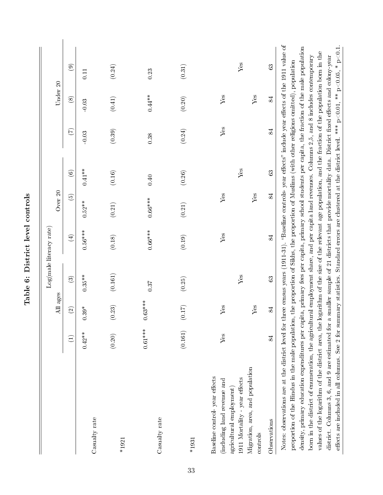|                                                                                                                                                                                                                                                                                                                                                                                                                                                                                                                                                                                                                                                                                                                                                                                                                                                                                                                                                                                                              |           |                    |                                                                                                    | Log(male literacy rate) |            |                        |         |               |                |
|--------------------------------------------------------------------------------------------------------------------------------------------------------------------------------------------------------------------------------------------------------------------------------------------------------------------------------------------------------------------------------------------------------------------------------------------------------------------------------------------------------------------------------------------------------------------------------------------------------------------------------------------------------------------------------------------------------------------------------------------------------------------------------------------------------------------------------------------------------------------------------------------------------------------------------------------------------------------------------------------------------------|-----------|--------------------|----------------------------------------------------------------------------------------------------|-------------------------|------------|------------------------|---------|---------------|----------------|
|                                                                                                                                                                                                                                                                                                                                                                                                                                                                                                                                                                                                                                                                                                                                                                                                                                                                                                                                                                                                              |           | All ages           |                                                                                                    |                         | Over 20    |                        |         | Under 20      |                |
|                                                                                                                                                                                                                                                                                                                                                                                                                                                                                                                                                                                                                                                                                                                                                                                                                                                                                                                                                                                                              | $\Xi$     | $\widehat{c}$      | $\widehat{\mathbf{c}}$                                                                             | $\bigoplus$             | ම          | $\widehat{\mathbf{6}}$ | E       | $\circledast$ | $\circledcirc$ |
| Casualty rate                                                                                                                                                                                                                                                                                                                                                                                                                                                                                                                                                                                                                                                                                                                                                                                                                                                                                                                                                                                                | $0.42**$  | $1.39*$<br>$\circ$ | $0.35***$                                                                                          | $0.56***$               | $0.52**$   | $0.41**$               | $-0.03$ | $-0.03$       | 0.11           |
| $*1921$                                                                                                                                                                                                                                                                                                                                                                                                                                                                                                                                                                                                                                                                                                                                                                                                                                                                                                                                                                                                      | (0.20)    | (0.23)             | (0.161)                                                                                            | (0.18)                  | (0.21)     | (0.16)                 | (0.39)  | (0.41)        | (0.24)         |
| Casualty rate                                                                                                                                                                                                                                                                                                                                                                                                                                                                                                                                                                                                                                                                                                                                                                                                                                                                                                                                                                                                | $0.61***$ | $0.63***$          | 0.37                                                                                               | $0.66***$               | $0.66***$  | 0.40                   | 0.38    | $0.44**$      | 0.23           |
| $*1931$                                                                                                                                                                                                                                                                                                                                                                                                                                                                                                                                                                                                                                                                                                                                                                                                                                                                                                                                                                                                      | (0.161)   | (0.17)             | (0.25)                                                                                             | (0.19)                  | (0.21)     | (0.26)                 | (0.24)  | $(0.20)$      | (0.31)         |
| Migration, area, and population<br>Baseline control-year effects<br>1911 Mortality - year effects<br>(including land revenue and<br>agricultural employment)<br>controls                                                                                                                                                                                                                                                                                                                                                                                                                                                                                                                                                                                                                                                                                                                                                                                                                                     | Yes       | Yes<br>Yes         | $Y$ es                                                                                             | Yes                     | Yes<br>Yes | Yes                    | Yes     | Yes<br>Yes    | Yes            |
| Observations                                                                                                                                                                                                                                                                                                                                                                                                                                                                                                                                                                                                                                                                                                                                                                                                                                                                                                                                                                                                 | 84        | 84                 | $\mathbb{S}$                                                                                       | 84                      | 84         | 63                     | 84      | 84            | 63             |
| Notes: observations are at the district level for three census years $(1911-31)$ . 'Baseline controls-year effects' include year effects of the 1911 value of<br>density, primary education expenditures per capita, primary fees per capita, primary school students per capita, the fraction of the male population<br>effects are included in all columns. See 2 for summary statistics. Standard errors are clustered at the district level. *** $p<0.01$ , ** $p<0.05$ , * $p<0.1$ .<br>values of the logarithm of the district area, the logarithm of the size of the relevant age population, and the fraction of the population born in the<br>born in the district of enumeration, the agricultural employment share, and per capita land revenues. Columns 2,5, and 8 includes contemporary<br>proportion of the Hindus in the male population, the proportion of Sikhs, the proportion of Muslims (with other religions omitted), population<br>district. Columns 3, 6, and 9 are estimated for a |           |                    | smaller sample of 21 districts that provide mortality data. District fixed effects and colony-year |                         |            |                        |         |               |                |

Table 6: District level controls Table 6: District level controls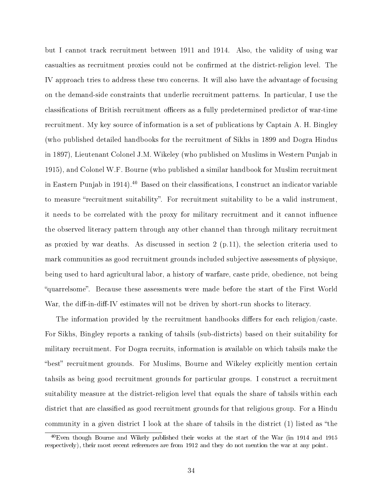but I cannot track recruitment between 1911 and 1914. Also, the validity of using war casualties as recruitment proxies could not be confirmed at the district-religion level. The IV approach tries to address these two concerns. It will also have the advantage of focusing on the demand-side constraints that underlie recruitment patterns. In particular, I use the classifications of British recruitment officers as a fully predetermined predictor of war-time recruitment. My key source of information is a set of publications by Captain A. H. Bingley (who published detailed handbooks for the recruitment of Sikhs in 1899 and Dogra Hindus in 1897), Lieutenant Colonel J.M. Wikeley (who published on Muslims in Western Punjab in 1915), and Colonel W.F. Bourne (who published a similar handbook for Muslim recruitment in Eastern Punjab in 1914).<sup>40</sup> Based on their classifications, I construct an indicator variable to measure "recruitment suitability". For recruitment suitability to be a valid instrument, it needs to be correlated with the proxy for military recruitment and it cannot influence the observed literacy pattern through any other channel than through military recruitment as proxied by war deaths. As discussed in section  $2 \text{ (p.11)}$ , the selection criteria used to mark communities as good recruitment grounds included subjective assessments of physique, being used to hard agricultural labor, a history of warfare, caste pride, obedience, not being quarrelsome. Because these assessments were made before the start of the First World War, the diff-in-diff-IV estimates will not be driven by short-run shocks to literacy.

The information provided by the recruitment handbooks differs for each religion/caste. For Sikhs, Bingley reports a ranking of tahsils (sub-districts) based on their suitability for military recruitment. For Dogra recruits, information is available on which tahsils make the "best" recruitment grounds. For Muslims, Bourne and Wikeley explicitly mention certain tahsils as being good recruitment grounds for particular groups. I construct a recruitment suitability measure at the district-religion level that equals the share of tahsils within each district that are classified as good recruitment grounds for that religious group. For a Hindu community in a given district I look at the share of tahsils in the district  $(1)$  listed as "the

 $^{40}$ Even though Bourne and Wikely published their works at the start of the War (in 1914 and 1915 respectively), their most recent references are from 1912 and they do not mention the war at any point.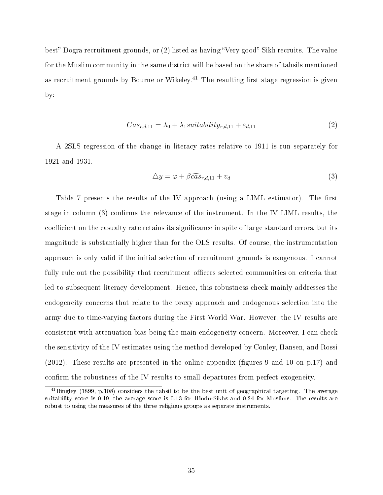best" Dogra recruitment grounds, or  $(2)$  listed as having "Very good" Sikh recruits. The value for the Muslim community in the same district will be based on the share of tahsils mentioned as recruitment grounds by Bourne or Wikeley.<sup>41</sup> The resulting first stage regression is given by:

$$
Cas_{r,d,11} = \lambda_0 + \lambda_1 suitability_{r,d,11} + \varepsilon_{d,11}
$$
\n<sup>(2)</sup>

A 2SLS regression of the change in literacy rates relative to 1911 is run separately for 1921 and 1931.

$$
\Delta y = \varphi + \beta \widehat{cas}_{r,d,11} + v_d \tag{3}
$$

Table 7 presents the results of the IV approach (using a LIML estimator). The first stage in column (3) confirms the relevance of the instrument. In the IV LIML results, the coefficient on the casualty rate retains its significance in spite of large standard errors, but its magnitude is substantially higher than for the OLS results. Of course, the instrumentation approach is only valid if the initial selection of recruitment grounds is exogenous. I cannot fully rule out the possibility that recruitment officers selected communities on criteria that led to subsequent literacy development. Hence, this robustness check mainly addresses the endogeneity concerns that relate to the proxy approach and endogenous selection into the army due to time-varying factors during the First World War. However, the IV results are consistent with attenuation bias being the main endogeneity concern. Moreover, I can check the sensitivity of the IV estimates using the method developed by Conley, Hansen, and Rossi  $(2012)$ . These results are presented in the online appendix (figures 9 and 10 on p.17) and confirm the robustness of the IV results to small departures from perfect exogeneity.

<sup>41</sup>Bingley (1899, p.108) considers the tahsil to be the best unit of geographical targeting. The average suitability score is 0.19, the average score is 0.13 for Hindu-Sikhs and 0.24 for Muslims. The results are robust to using the measures of the three religious groups as separate instruments.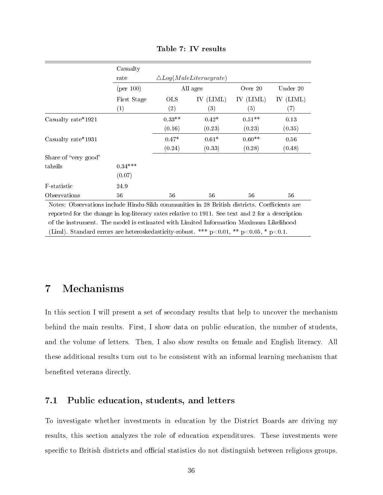|                        | Casualty    |            |                                  |           |           |
|------------------------|-------------|------------|----------------------------------|-----------|-----------|
|                        | rate        |            | $\triangle Log(Male Literature)$ |           |           |
|                        | (per 100)   |            | All ages                         | Over 20   | Under 20  |
|                        | First Stage | <b>OLS</b> | IV (LIML)                        | IV (LIML) | IV (LIML) |
|                        | (1)         | (2)        | $\left( 3\right)$                | (5)       | (7)       |
| Casualty rate * $1921$ |             | $0.33**$   | $0.42*$                          | $0.51**$  | 0.13      |
|                        |             | (0.16)     | (0.23)                           | (0.23)    | (0.35)    |
| Casualty rate*1931     |             | $0.47*$    | $0.61*$                          | $0.60**$  | 0.56      |
|                        |             | (0.24)     | (0.33)                           | (0.28)    | (0.48)    |
| Share of "very good"   |             |            |                                  |           |           |
| tahsils                | $0.34***$   |            |                                  |           |           |
|                        | (0.07)      |            |                                  |           |           |
| F-statistic            | 24.9        |            |                                  |           |           |
| Observations           | 56          | 56         | 56                               | 56        | 56        |

Table 7: IV results

Notes: Observations include Hindu-Sikh communities in 28 British districts. Coefficients are reported for the change in log-literacy rates relative to 1911. See text and 2 for a description of the instrument. The model is estimated with Limited Information Maximum Likelihood (Liml). Standard errors are heteroskedasticity-robust. \*\*\*  $p<0.01$ , \*\*  $p<0.05$ , \*  $p<0.1$ .

# 7 Mechanisms

In this section I will present a set of secondary results that help to uncover the mechanism behind the main results. First, I show data on public education, the number of students, and the volume of letters. Then, I also show results on female and English literacy. All these additional results turn out to be consistent with an informal learning mechanism that benefited veterans directly.

## 7.1 Public education, students, and letters

To investigate whether investments in education by the District Boards are driving my results, this section analyzes the role of education expenditures. These investments were specific to British districts and official statistics do not distinguish between religious groups.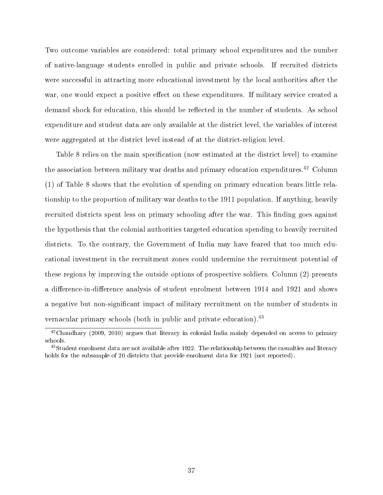Two outcome variables are considered: total primary school expenditures and the number of native-language students enrolled in public and private schools. If recruited districts were successful in attracting more educational investment by the local authorities after the war, one would expect a positive effect on these expenditures. If military service created a demand shock for education, this should be reflected in the number of students. As school expenditure and student data are only available at the district level, the variables of interest were aggregated at the district level instead of at the district-religion level.

Table 8 relies on the main specification (now estimated at the district level) to examine the association between military war deaths and primary education expenditures.<sup>42</sup> Column (1) of Table 8 shows that the evolution of spending on primary education bears little relationship to the proportion of military war deaths to the 1911 population. If anything, heavily recruited districts spent less on primary schooling after the war. This finding goes against the hypothesis that the colonial authorities targeted education spending to heavily recruited districts. To the contrary, the Government of India may have feared that too much educational investment in the recruitment zones could undermine the recruitment potential of these regions by improving the outside options of prospective soldiers. Column (2) presents a difference-in-difference analysis of student enrolment between 1914 and 1921 and shows a negative but non-signicant impact of military recruitment on the number of students in vernacular primary schools (both in public and private education).<sup>43</sup>

<sup>&</sup>lt;sup>42</sup>Chaudhary (2009, 2010) argues that literacy in colonial India mainly depended on access to primary schools.

<sup>&</sup>lt;sup>43</sup>Student enrolment data are not available after 1922. The relationship between the casualties and literacy holds for the subsample of 20 districts that provide enrolment data for 1921 (not reported).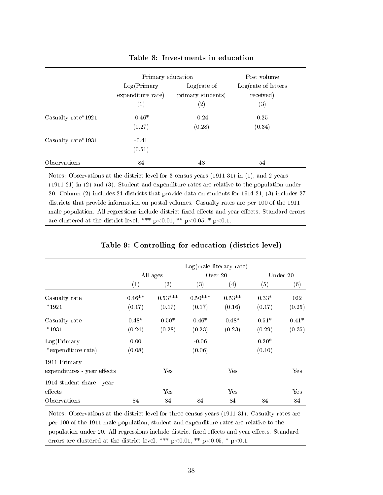|                        | Primary education |                   | Post volume                   |
|------------------------|-------------------|-------------------|-------------------------------|
|                        | Log(Primary)      | $Log(rate$ of     | $Log(\text{rate of letters})$ |
|                        | expenditure rate) | primary students) | received)                     |
|                        | $\left( 1\right)$ | $\left( 2\right)$ | (3)                           |
| Casualty rate * $1921$ | $-0.46*$          | $-0.24$           | 0.25                          |
|                        | (0.27)            | (0.28)            | (0.34)                        |
| Casualty rate*1931     | $-0.41$           |                   |                               |
|                        | (0.51)            |                   |                               |
| Observations           | 84                | 48                | 54                            |

### Table 8: Investments in education

Notes: Observations at the district level for 3 census years (1911-31) in (1), and 2 years (1911-21) in (2) and (3). Student and expenditure rates are relative to the population under 20. Column (2) includes 24 districts that provide data on students for 1914-21, (3) includes 27 districts that provide information on postal volumes. Casualty rates are per 100 of the 1911 male population. All regressions include district fixed effects and year effects. Standard errors are clustered at the district level. \*\*\*  $p<0.01$ , \*\*  $p<0.05$ , \*  $p<0.1$ .

|                             |          |           |           | $Log(male$ literacy rate) |         |                      |
|-----------------------------|----------|-----------|-----------|---------------------------|---------|----------------------|
|                             |          | All ages  |           | Over 20                   |         | Under 20             |
|                             | (1)      | (2)       | (3)       | (4)                       | (5)     | (6)                  |
| Casualty rate               | $0.46**$ | $0.53***$ | $0.50***$ | $0.53**$                  | $0.33*$ | 022                  |
| $*1921$                     | (0.17)   | (0.17)    | (0.17)    | (0.16)                    | (0.17)  | (0.25)               |
| Casualty rate               | $0.48*$  | $0.50*$   | $0.46*$   | $0.48*$                   | $0.51*$ | $0.41*$              |
| $*1931$                     | (0.24)   | (0.28)    | (0.23)    | (0.23)                    | (0.29)  | (0.35)               |
| Log(Primary)                | 0.00     |           | $-0.06$   |                           | $0.20*$ |                      |
| *expenditure rate)          | (0.08)   |           | (0.06)    |                           | (0.10)  |                      |
| 1911 Primary                |          |           |           |                           |         |                      |
| expenditures - year effects |          | Yes       |           | Yes                       |         | Yes                  |
| 1914 student share - year   |          |           |           |                           |         |                      |
| effects                     |          | Yes       |           | Yes                       |         | $\operatorname{Yes}$ |
| Observations                | 84       | 84        | 84        | 84                        | 84      | 84                   |

### Table 9: Controlling for education (district level)

Notes: Observations at the district level for three census years (1911-31). Casualty rates are per 100 of the 1911 male population, student and expenditure rates are relative to the population under 20. All regressions include district fixed effects and year effects. Standard errors are clustered at the district level. \*\*\*  $p<0.01$ , \*\*  $p<0.05$ , \*  $p<0.1$ .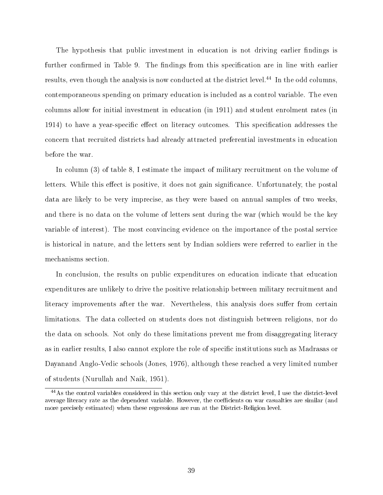The hypothesis that public investment in education is not driving earlier findings is further confirmed in Table 9. The findings from this specification are in line with earlier results, even though the analysis is now conducted at the district level.<sup>44</sup> In the odd columns, contemporaneous spending on primary education is included as a control variable. The even columns allow for initial investment in education (in 1911) and student enrolment rates (in 1914) to have a year-specific effect on literacy outcomes. This specification addresses the concern that recruited districts had already attracted preferential investments in education before the war.

In column (3) of table 8, I estimate the impact of military recruitment on the volume of letters. While this effect is positive, it does not gain significance. Unfortunately, the postal data are likely to be very imprecise, as they were based on annual samples of two weeks, and there is no data on the volume of letters sent during the war (which would be the key variable of interest). The most convincing evidence on the importance of the postal service is historical in nature, and the letters sent by Indian soldiers were referred to earlier in the mechanisms section.

In conclusion, the results on public expenditures on education indicate that education expenditures are unlikely to drive the positive relationship between military recruitment and literacy improvements after the war. Nevertheless, this analysis does suffer from certain limitations. The data collected on students does not distinguish between religions, nor do the data on schools. Not only do these limitations prevent me from disaggregating literacy as in earlier results, I also cannot explore the role of specific institutions such as Madrasas or Dayanand Anglo-Vedic schools (Jones, 1976), although these reached a very limited number of students (Nurullah and Naik, 1951).

<sup>44</sup>As the control variables considered in this section only vary at the district level, I use the district-level average literacy rate as the dependent variable. However, the coefficients on war casualties are similar (and more precisely estimated) when these regressions are run at the District-Religion level.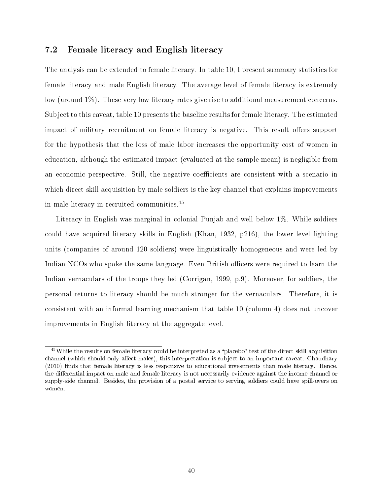### 7.2 Female literacy and English literacy

The analysis can be extended to female literacy. In table 10, I present summary statistics for female literacy and male English literacy. The average level of female literacy is extremely low (around  $1\%$ ). These very low literacy rates give rise to additional measurement concerns. Subject to this caveat, table 10 presents the baseline results for female literacy. The estimated impact of military recruitment on female literacy is negative. This result offers support for the hypothesis that the loss of male labor increases the opportunity cost of women in education, although the estimated impact (evaluated at the sample mean) is negligible from an economic perspective. Still, the negative coefficients are consistent with a scenario in which direct skill acquisition by male soldiers is the key channel that explains improvements in male literacy in recruited communities.<sup>45</sup>

Literacy in English was marginal in colonial Punjab and well below 1%. While soldiers could have acquired literacy skills in English (Khan, 1932,  $p216$ ), the lower level fighting units (companies of around 120 soldiers) were linguistically homogeneous and were led by Indian NCOs who spoke the same language. Even British officers were required to learn the Indian vernaculars of the troops they led (Corrigan, 1999, p.9). Moreover, for soldiers, the personal returns to literacy should be much stronger for the vernaculars. Therefore, it is consistent with an informal learning mechanism that table 10 (column 4) does not uncover improvements in English literacy at the aggregate level.

 $45$ While the results on female literacy could be interpreted as a "placebo" test of the direct skill acquisition channel (which should only affect males), this interpretation is subject to an important caveat. Chaudhary (2010) finds that female literacy is less responsive to educational investments than male literacy. Hence, the differential impact on male and female literacy is not necessarily evidence against the income channel or supply-side channel. Besides, the provision of a postal service to serving soldiers could have spill-overs on women.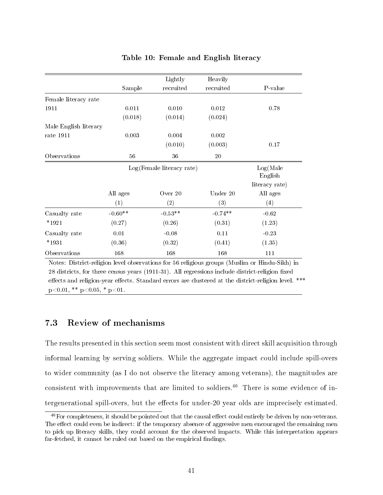|                                                                                                                                                                                                                               |           | Lightly                                                                       | Heavily                              |                        |
|-------------------------------------------------------------------------------------------------------------------------------------------------------------------------------------------------------------------------------|-----------|-------------------------------------------------------------------------------|--------------------------------------|------------------------|
|                                                                                                                                                                                                                               | Sample    | recruited                                                                     | recruited                            | P-value                |
| Female literacy rate                                                                                                                                                                                                          |           |                                                                               |                                      |                        |
| 1911                                                                                                                                                                                                                          | 0.011     | 0.010                                                                         | 0.012                                | 0.78                   |
|                                                                                                                                                                                                                               | (0.018)   | (0.014)                                                                       | (0.024)                              |                        |
| Male English literacy                                                                                                                                                                                                         |           |                                                                               |                                      |                        |
| rate $1911$                                                                                                                                                                                                                   | 0.003     | 0.004                                                                         | 0.002                                |                        |
|                                                                                                                                                                                                                               |           | (0.010)                                                                       | (0.003)                              | 0.17                   |
| Observations                                                                                                                                                                                                                  | $56\,$    | 36                                                                            | $20\,$                               |                        |
|                                                                                                                                                                                                                               |           | $Log(Female \text{ literacy rate})$                                           |                                      | Log(Male)              |
|                                                                                                                                                                                                                               |           |                                                                               |                                      | English                |
|                                                                                                                                                                                                                               |           |                                                                               |                                      | literacy rate)         |
|                                                                                                                                                                                                                               | All ages  | Over 20                                                                       | Under 20                             | All ages               |
|                                                                                                                                                                                                                               | (1)       | (2)                                                                           | (3)                                  | (4)                    |
| Casualty rate                                                                                                                                                                                                                 | $-0.60**$ | $-0.53**$                                                                     | $-0.74**$                            | $-0.62$                |
| $*1921$                                                                                                                                                                                                                       | (0.27)    | (0.26)                                                                        | (0.31)                               | (1.23)                 |
| Casualty rate                                                                                                                                                                                                                 | 0.01      | $-0.08$                                                                       | 0.11                                 | $-0.23$                |
| $*1931$                                                                                                                                                                                                                       | (0.36)    | (0.32)                                                                        | (0.41)                               | (1.35)                 |
| Observations                                                                                                                                                                                                                  | 168       | 168                                                                           | 168                                  | 111                    |
| van variation distribution of the state of the state of the state of the state of the state of the state of the state of the state of the state of the state of the state of the state of the state of the state of the state |           | $\mathbf{r}$ $\mathbf{r}$ $\mathbf{r}$ $\mathbf{r}$ $\mathbf{r}$ $\mathbf{r}$ | $(\mathbf{A} \mathbf{A} \mathbf{A})$ | $TT'$ 1 $C'1$ 1 $\vee$ |

### Table 10: Female and English literacy

Notes: District-religion level observations for 56 religious groups (Muslim or Hindu-Sikh) in 28 districts, for three census years (1911-31). All regressions include district-religion fixed effects and religion-year effects. Standard errors are clustered at the district-religion level. \*\*\*  $p<0.01$ , \*\*  $p<0.05$ , \*  $p<01$ .

### 7.3 Review of mechanisms

The results presented in this section seem most consistent with direct skill acquisition through informal learning by serving soldiers. While the aggregate impact could include spill-overs to wider community (as I do not observe the literacy among veterans), the magnitudes are consistent with improvements that are limited to soldiers.<sup>46</sup> There is some evidence of intergenerational spill-overs, but the effects for under-20 year olds are imprecisely estimated.

 $^{46}$ For completeness, it should be pointed out that the causal effect could entirely be driven by non-veterans. The effect could even be indirect: if the temporary absence of aggressive men encouraged the remaining men to pick up literacy skills, they could account for the observed impacts. While this interpretation appears far-fetched, it cannot be ruled out based on the empirical findings.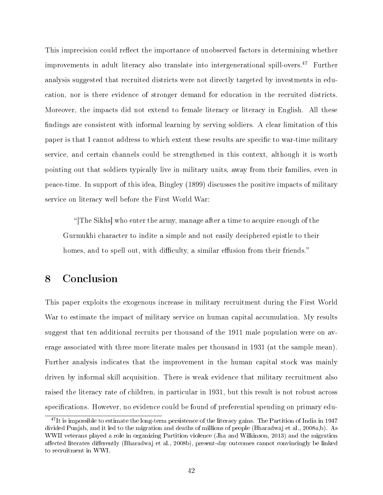This imprecision could reflect the importance of unobserved factors in determining whether improvements in adult literacy also translate into intergenerational spill-overs.<sup>47</sup> Further analysis suggested that recruited districts were not directly targeted by investments in education, nor is there evidence of stronger demand for education in the recruited districts. Moreover, the impacts did not extend to female literacy or literacy in English. All these findings are consistent with informal learning by serving soldiers. A clear limitation of this paper is that I cannot address to which extent these results are specific to war-time military service, and certain channels could be strengthened in this context, although it is worth pointing out that soldiers typically live in military units, away from their families, even in peace-time. In support of this idea, Bingley (1899) discusses the positive impacts of military service on literacy well before the First World War:

[The Sikhs] who enter the army, manage after a time to acquire enough of the Gurmukhi character to indite a simple and not easily deciphered epistle to their homes, and to spell out, with difficulty, a similar effusion from their friends."

# 8 Conclusion

This paper exploits the exogenous increase in military recruitment during the First World War to estimate the impact of military service on human capital accumulation. My results suggest that ten additional recruits per thousand of the 1911 male population were on average associated with three more literate males per thousand in 1931 (at the sample mean). Further analysis indicates that the improvement in the human capital stock was mainly driven by informal skill acquisition. There is weak evidence that military recruitment also raised the literacy rate of children, in particular in 1931, but this result is not robust across specifications. However, no evidence could be found of preferential spending on primary edu-

<sup>&</sup>lt;sup>47</sup>It is impossible to estimate the long-term persistence of the literacy gains. The Partition of India in 1947 divided Punjab, and it led to the migration and deaths of millions of people (Bharadwaj et al., 2008a,b). As WWII veterans played a role in organizing Partition violence (Jha and Wilkinson, 2013) and the migration affected literates differently (Bharadwaj et al., 2008b), present-day outcomes cannot convincingly be linked to recruitment in WWI.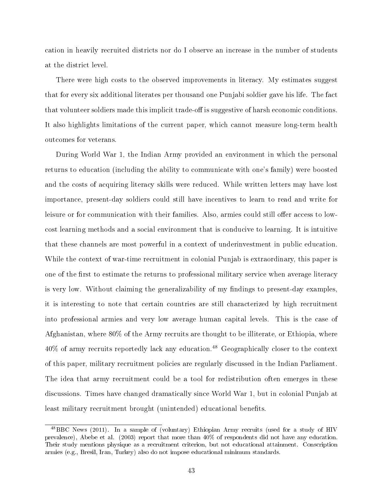cation in heavily recruited districts nor do I observe an increase in the number of students at the district level.

There were high costs to the observed improvements in literacy. My estimates suggest that for every six additional literates per thousand one Punjabi soldier gave his life. The fact that volunteer soldiers made this implicit trade-off is suggestive of harsh economic conditions. It also highlights limitations of the current paper, which cannot measure long-term health outcomes for veterans.

During World War 1, the Indian Army provided an environment in which the personal returns to education (including the ability to communicate with one's family) were boosted and the costs of acquiring literacy skills were reduced. While written letters may have lost importance, present-day soldiers could still have incentives to learn to read and write for leisure or for communication with their families. Also, armies could still offer access to lowcost learning methods and a social environment that is conducive to learning. It is intuitive that these channels are most powerful in a context of underinvestment in public education. While the context of war-time recruitment in colonial Punjab is extraordinary, this paper is one of the first to estimate the returns to professional military service when average literacy is very low. Without claiming the generalizability of my findings to present-day examples, it is interesting to note that certain countries are still characterized by high recruitment into professional armies and very low average human capital levels. This is the case of Afghanistan, where 80% of the Army recruits are thought to be illiterate, or Ethiopia, where 40% of army recruits reportedly lack any education.<sup>48</sup> Geographically closer to the context of this paper, military recruitment policies are regularly discussed in the Indian Parliament. The idea that army recruitment could be a tool for redistribution often emerges in these discussions. Times have changed dramatically since World War 1, but in colonial Punjab at least military recruitment brought (unintended) educational benefits.

<sup>48</sup>BBC News (2011). In a sample of (voluntary) Ethiopian Army recruits (used for a study of HIV prevalence), Abebe et al. (2003) report that more than 40% of respondents did not have any education. Their study mentions physique as a recruitment criterion, but not educational attainment. Conscription armies (e.g., Bresil, Iran, Turkey) also do not impose educational minimum standards.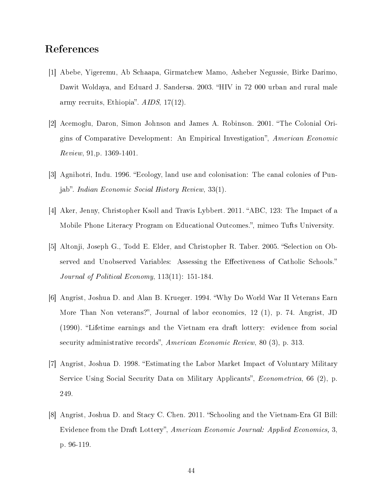# References

- [1] Abebe, Yigeremu, Ab Schaapa, Girmatchew Mamo, Asheber Negussie, Birke Darimo, Dawit Woldaya, and Eduard J. Sandersa. 2003. "HIV in 72 000 urban and rural male army recruits, Ethiopia". AIDS, 17(12).
- [2] Acemoglu, Daron, Simon Johnson and James A. Robinson. 2001. The Colonial Origins of Comparative Development: An Empirical Investigation", American Economic Review, 91,p. 1369-1401.
- [3] Agnihotri, Indu. 1996. Ecology, land use and colonisation: The canal colonies of Punjab". Indian Economic Social History Review,  $33(1)$ .
- [4] Aker, Jenny, Christopher Ksoll and Travis Lybbert. 2011. "ABC, 123: The Impact of a Mobile Phone Literacy Program on Educational Outcomes.", mimeo Tufts University.
- [5] Altonji, Joseph G., Todd E. Elder, and Christopher R. Taber. 2005. "Selection on Observed and Unobserved Variables: Assessing the Effectiveness of Catholic Schools." Journal of Political Economy, 113(11): 151-184.
- [6] Angrist, Joshua D. and Alan B. Krueger. 1994. Why Do World War II Veterans Earn More Than Non veterans?", Journal of labor economics, 12 (1), p. 74. Angrist, JD (1990). Lifetime earnings and the Vietnam era draft lottery: evidence from social security administrative records", American Economic Review, 80 (3), p. 313.
- [7] Angrist, Joshua D. 1998. Estimating the Labor Market Impact of Voluntary Military Service Using Social Security Data on Military Applicants", *Econometrica*, 66 (2), p. 249.
- [8] Angrist, Joshua D. and Stacy C. Chen. 2011. "Schooling and the Vietnam-Era GI Bill: Evidence from the Draft Lottery", American Economic Journal: Applied Economics, 3, p. 96-119.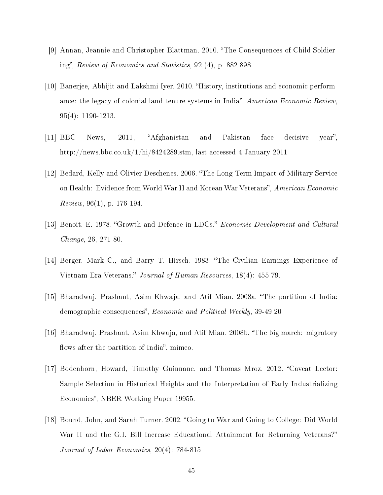- [9] Annan, Jeannie and Christopher Blattman. 2010. "The Consequences of Child Soldiering", Review of Economics and Statistics,  $92(4)$ , p. 882-898.
- [10] Banerjee, Abhijit and Lakshmi Iyer. 2010. History, institutions and economic performance: the legacy of colonial land tenure systems in India", American Economic Review, 95(4): 1190-1213.
- [11] BBC News, 2011, "Afghanistan and Pakistan face decisive year", http://news.bbc.co.uk/1/hi/8424289.stm, last accessed 4 January 2011
- [12] Bedard, Kelly and Olivier Deschenes. 2006. "The Long-Term Impact of Military Service on Health: Evidence from World War II and Korean War Veterans", American Economic *Review*, 96(1), p. 176-194.
- [13] Benoit, E. 1978. "Growth and Defence in LDCs." *Economic Development and Cultural* Change, 26, 271-80.
- [14] Berger, Mark C., and Barry T. Hirsch. 1983. "The Civilian Earnings Experience of Vietnam-Era Veterans." Journal of Human Resources, 18(4): 455-79.
- [15] Bharadwaj, Prashant, Asim Khwaja, and Atif Mian. 2008a. The partition of India: demographic consequences", *Economic and Political Weekly*, 39-49 20
- [16] Bharadwaj, Prashant, Asim Khwaja, and Atif Mian. 2008b. "The big march: migratory flows after the partition of India", mimeo.
- [17] Bodenhorn, Howard, Timothy Guinnane, and Thomas Mroz. 2012. "Caveat Lector: Sample Selection in Historical Heights and the Interpretation of Early Industrializing Economies", NBER Working Paper 19955.
- [18] Bound, John, and Sarah Turner. 2002. "Going to War and Going to College: Did World War II and the G.I. Bill Increase Educational Attainment for Returning Veterans?" Journal of Labor Economics, 20(4): 784-815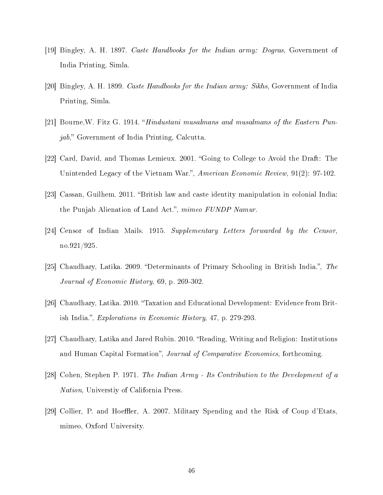- [19] Bingley, A. H. 1897. Caste Handbooks for the Indian army: Dogras, Government of India Printing, Simla.
- [20] Bingley, A. H. 1899. Caste Handbooks for the Indian army: Sikhs, Government of India Printing, Simla.
- [21] Bourne,W. Fitz G. 1914. Hindustani musalmans and musalmans of the Eastern Pun $jab, "Government of India Printing, Calcutta.$
- [22] Card, David, and Thomas Lemieux. 2001. "Going to College to Avoid the Draft: The Unintended Legacy of the Vietnam War.", American Economic Review, 91(2): 97-102.
- [23] Cassan, Guilhem. 2011. "British law and caste identity manipulation in colonial India: the Punjab Alienation of Land Act.", mimeo FUNDP Namur.
- [24] Censor of Indian Mails. 1915. Supplementary Letters forwarded by the Censor, no.921/925.
- [25] Chaudhary, Latika. 2009. "Determinants of Primary Schooling in British India.", The Journal of Economic History, 69, p. 269-302.
- [26] Chaudhary, Latika. 2010. "Taxation and Educational Development: Evidence from British India.", Explorations in Economic History, 47, p. 279-293.
- [27] Chaudhary, Latika and Jared Rubin. 2010. "Reading, Writing and Religion: Institutions and Human Capital Formation", Journal of Comparative Economics, forthcoming.
- [28] Cohen, Stephen P. 1971. The Indian Army Its Contribution to the Development of a Nation, Universtiy of California Press.
- [29] Collier, P. and Hoeffler, A. 2007. Military Spending and the Risk of Coup d'Etats, mimeo, Oxford University.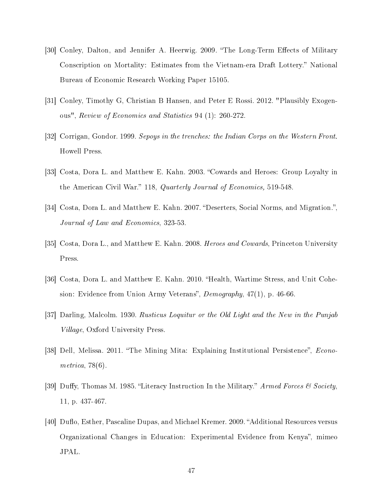- [30] Conley, Dalton, and Jennifer A. Heerwig. 2009. "The Long-Term Effects of Military Conscription on Mortality: Estimates from the Vietnam-era Draft Lottery. National Bureau of Economic Research Working Paper 15105.
- [31] Conley, Timothy G, Christian B Hansen, and Peter E Rossi. 2012. "Plausibly Exogenous", Review of Economics and Statistics 94 (1): 260-272.
- [32] Corrigan, Gondor. 1999. Sepoys in the trenches: the Indian Corps on the Western Front. Howell Press.
- [33] Costa, Dora L. and Matthew E. Kahn. 2003. "Cowards and Heroes: Group Loyalty in the American Civil War." 118, Quarterly Journal of Economics, 519-548.
- [34] Costa, Dora L. and Matthew E. Kahn. 2007. "Deserters, Social Norms, and Migration.", Journal of Law and Economics, 323-53.
- [35] Costa, Dora L., and Matthew E. Kahn. 2008. *Heroes and Cowards*, Princeton University Press.
- [36] Costa, Dora L. and Matthew E. Kahn. 2010. "Health, Wartime Stress, and Unit Cohesion: Evidence from Union Army Veterans",  $Demography$ ,  $47(1)$ , p. 46-66.
- [37] Darling, Malcolm. 1930. Rusticus Loquitur or the Old Light and the New in the Punjab Village, Oxford University Press.
- [38] Dell, Melissa. 2011. "The Mining Mita: Explaining Institutional Persistence", *Econo*metrica, 78(6).
- [39] Duffy, Thomas M. 1985. "Literacy Instruction In the Military." Armed Forces & Society, 11, p. 437-467.
- [40] Duflo, Esther, Pascaline Dupas, and Michael Kremer. 2009. "Additional Resources versus Organizational Changes in Education: Experimental Evidence from Kenya", mimeo JPAL.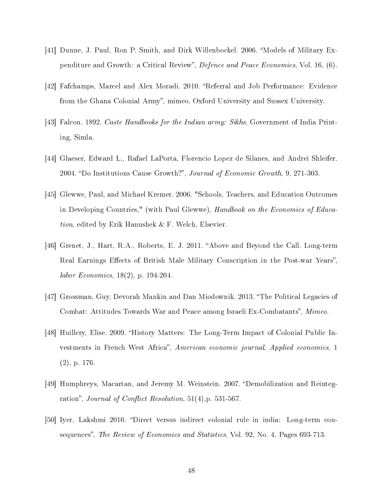- [41] Dunne, J. Paul, Ron P. Smith, and Dirk Willenbockel. 2006. "Models of Military Expenditure and Growth: a Critical Review", Defence and Peace Economics, Vol. 16, (6).
- [42] Fafchamps, Marcel and Alex Moradi. 2010. "Referral and Job Performance: Evidence from the Ghana Colonial Army", mimeo, Oxford University and Sussex University.
- [43] Falcon. 1892. *Caste Handbooks for the Indian army: Sikhs*, Government of India Printing, Simla.
- [44] Glaeser, Edward L., Rafael LaPorta, Florencio Lopez de Silanes, and Andrei Shleifer. 2004. "Do Institutions Cause Growth?", Journal of Economic Growth, 9, 271-303.
- [45] Glewwe, Paul, and Michael Kremer. 2006. "Schools, Teachers, and Education Outcomes in Developing Countries," (with Paul Glewwe), Handbook on the Economics of Education, edited by Erik Hanushek & F. Welch, Elsevier.
- [46] Grenet, J., Hart, R.A., Roberts, E. J. 2011. "Above and Beyond the Call. Long-term Real Earnings Effects of British Male Military Conscription in the Post-war Years", labor Economics, 18(2), p. 194-204.
- [47] Grossman, Guy, Devorah Mankin and Dan Miodownik. 2013. "The Political Legacies of Combat: Attitudes Towards War and Peace among Israeli Ex-Combatants", Mimeo.
- [48] Huillery, Elise. 2009. "History Matters: The Long-Term Impact of Colonial Public Investments in French West Africa", American economic journal. Applied economics, 1 (2), p. 176.
- [49] Humphreys, Macartan, and Jeremy M. Weinstein. 2007. "Demobilization and Reintegration", Journal of Conflict Resolution,  $51(4)$ , p.  $531-567$ .
- [50] Iyer, Lakshmi 2010. "Direct versus indirect colonial rule in india: Long-term consequences", The Review of Economics and Statistics, Vol. 92, No. 4, Pages 693-713.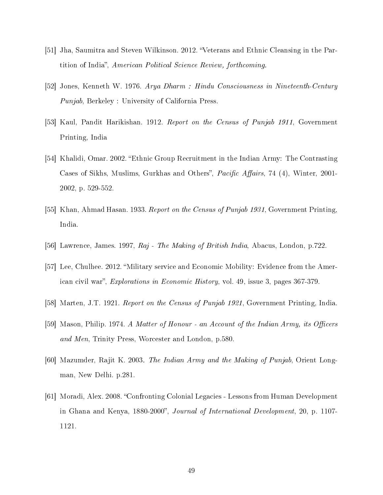- [51] Jha, Saumitra and Steven Wilkinson. 2012. "Veterans and Ethnic Cleansing in the Partition of India", American Political Science Review, forthcoming.
- [52] Jones, Kenneth W. 1976. Arya Dharm : Hindu Consciousness in Nineteenth-Century Punjab, Berkeley : University of California Press.
- [53] Kaul, Pandit Harikishan. 1912. Report on the Census of Punjab 1911, Government Printing, India
- [54] Khalidi, Omar. 2002. "Ethnic Group Recruitment in the Indian Army: The Contrasting Cases of Sikhs, Muslims, Gurkhas and Others", *Pacific Affairs*, 74 (4), Winter, 2001-2002, p. 529-552.
- [55] Khan, Ahmad Hasan. 1933. Report on the Census of Punjab 1931, Government Printing, India.
- [56] Lawrence, James. 1997, Raj The Making of British India, Abacus, London, p.722.
- [57] Lee, Chulhee. 2012. Military service and Economic Mobility: Evidence from the American civil war", *Explorations in Economic History*, vol. 49, issue 3, pages  $367-379$ .
- [58] Marten, J.T. 1921. Report on the Census of Punjab 1921, Government Printing, India.
- [59] Mason, Philip. 1974. A Matter of Honour an Account of the Indian Army, its Officers and Men, Trinity Press, Worcester and London, p.580.
- [60] Mazumder, Rajit K. 2003. The Indian Army and the Making of Punjab, Orient Longman, New Delhi. p.281.
- [61] Moradi, Alex. 2008. "Confronting Colonial Legacies Lessons from Human Development in Ghana and Kenya, 1880-2000", Journal of International Development, 20, p. 1107-1121.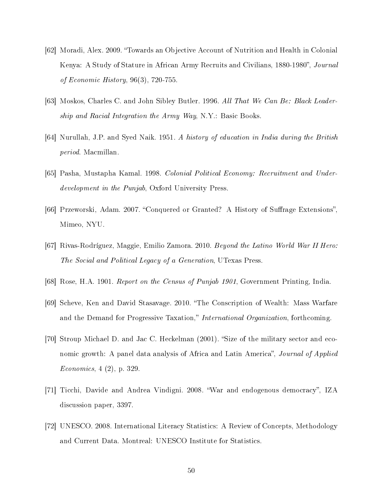- [62] Moradi, Alex. 2009. Towards an Objective Account of Nutrition and Health in Colonial Kenya: A Study of Stature in African Army Recruits and Civilians, 1880-1980", Journal of Economic History, 96(3), 720-755.
- [63] Moskos, Charles C. and John Sibley Butler. 1996. All That We Can Be: Black Leadership and Racial Integration the Army Way, N.Y.: Basic Books.
- [64] Nurullah, J.P. and Syed Naik. 1951. A history of education in India during the British period. Macmillan.
- [65] Pasha, Mustapha Kamal. 1998. Colonial Political Economy: Recruitment and Underdevelopment in the Punjab, Oxford University Press.
- [66] Przeworski, Adam. 2007. "Conquered or Granted? A History of Suffrage Extensions", Mimeo, NYU.
- [67] Rivas-Rodríguez, Maggie, Emilio Zamora. 2010. Beyond the Latino World War II Hero: The Social and Political Legacy of a Generation, UTexas Press.
- [68] Rose, H.A. 1901. Report on the Census of Punjab 1901, Government Printing, India.
- [69] Scheve, Ken and David Stasavage. 2010. "The Conscription of Wealth: Mass Warfare and the Demand for Progressive Taxation," International Organization, forthcoming.
- [70] Stroup Michael D. and Jac C. Heckelman (2001). "Size of the military sector and economic growth: A panel data analysis of Africa and Latin America", Journal of Applied Economics, 4 (2), p. 329.
- [71] Ticchi, Davide and Andrea Vindigni. 2008. "War and endogenous democracy", IZA discussion paper, 3397.
- [72] UNESCO. 2008. International Literacy Statistics: A Review of Concepts, Methodology and Current Data. Montreal: UNESCO Institute for Statistics.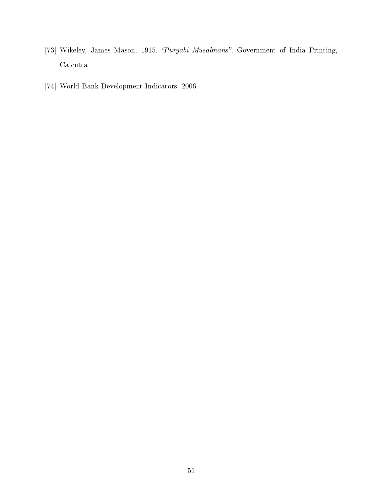- [73] Wikeley, James Mason. 1915. "Punjabi Musalmans", Government of India Printing, Calcutta.
- [74] World Bank Development Indicators, 2006.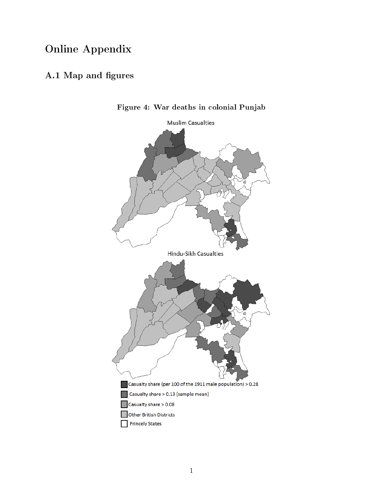# Online Appendix

# A.1 Map and figures



Figure 4: War deaths in colonial Punjab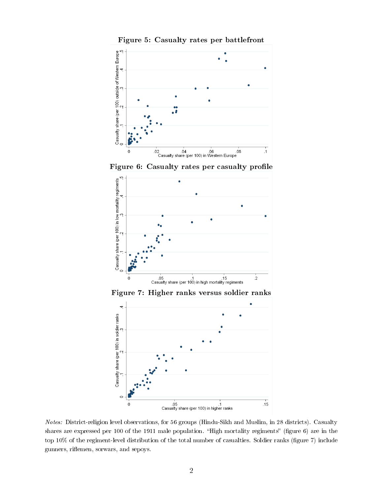

Figure 6: Casualty rates per casualty profile





Notes: District-religion level observations, for 56 groups (Hindu-Sikh and Muslim, in 28 districts). Casualty shares are expressed per 100 of the 1911 male population. "High mortality regiments" (figure 6) are in the top 10% of the regiment-level distribution of the total number of casualties. Soldier ranks (figure 7) include gunners, riflemen, sorwars, and sepoys.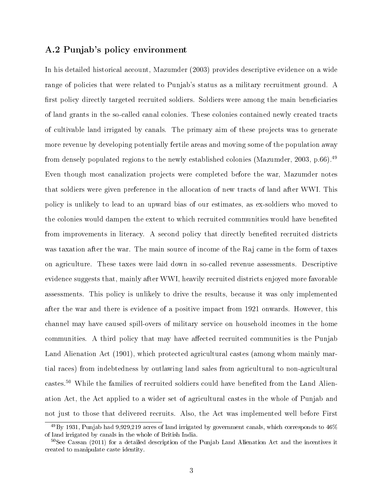### A.2 Punjab's policy environment

In his detailed historical account, Mazumder (2003) provides descriptive evidence on a wide range of policies that were related to Punjab's status as a military recruitment ground. A first policy directly targeted recruited soldiers. Soldiers were among the main beneficiaries of land grants in the so-called canal colonies. These colonies contained newly created tracts of cultivable land irrigated by canals. The primary aim of these projects was to generate more revenue by developing potentially fertile areas and moving some of the population away from densely populated regions to the newly established colonies (Mazumder, 2003, p.66).<sup>49</sup> Even though most canalization projects were completed before the war, Mazumder notes that soldiers were given preference in the allocation of new tracts of land after WWI. This policy is unlikely to lead to an upward bias of our estimates, as ex-soldiers who moved to the colonies would dampen the extent to which recruited communities would have benefited from improvements in literacy. A second policy that directly benefited recruited districts was taxation after the war. The main source of income of the Raj came in the form of taxes on agriculture. These taxes were laid down in so-called revenue assessments. Descriptive evidence suggests that, mainly after WWI, heavily recruited districts enjoyed more favorable assessments. This policy is unlikely to drive the results, because it was only implemented after the war and there is evidence of a positive impact from 1921 onwards. However, this channel may have caused spill-overs of military service on household incomes in the home communities. A third policy that may have affected recruited communities is the Punjab Land Alienation Act (1901), which protected agricultural castes (among whom mainly martial races) from indebtedness by outlawing land sales from agricultural to non-agricultural castes.<sup>50</sup> While the families of recruited soldiers could have benefited from the Land Alienation Act, the Act applied to a wider set of agricultural castes in the whole of Punjab and not just to those that delivered recruits. Also, the Act was implemented well before First

 $^{49}$ By 1931, Punjab had 9,929,219 acres of land irrigated by government canals, which corresponds to  $46\%$ of land irrigated by canals in the whole of British India.

 $50$ See Cassan (2011) for a detailed description of the Punjab Land Alienation Act and the incentives it created to manipulate caste identity.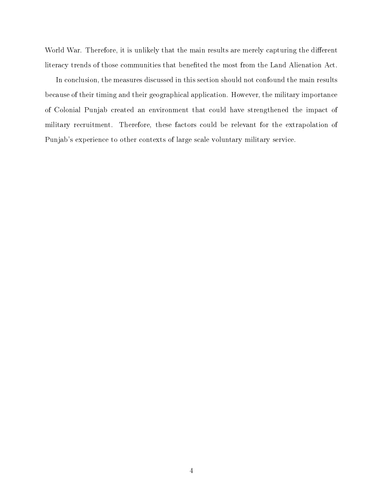World War. Therefore, it is unlikely that the main results are merely capturing the different literacy trends of those communities that benefited the most from the Land Alienation Act.

In conclusion, the measures discussed in this section should not confound the main results because of their timing and their geographical application. However, the military importance of Colonial Punjab created an environment that could have strengthened the impact of military recruitment. Therefore, these factors could be relevant for the extrapolation of Punjab's experience to other contexts of large scale voluntary military service.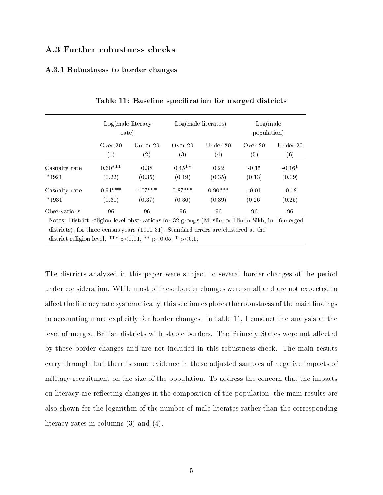## A.3 Further robustness checks

### A.3.1 Robustness to border changes

|                                                                                                                                                                                                                                                          | rate)             | $Log(male$ literacy |           | $Log(male$ literates) | Log(male)<br>population) |          |
|----------------------------------------------------------------------------------------------------------------------------------------------------------------------------------------------------------------------------------------------------------|-------------------|---------------------|-----------|-----------------------|--------------------------|----------|
|                                                                                                                                                                                                                                                          | Over $20$         | Under 20            | Over $20$ | Under 20              | Over $20$                | Under 20 |
|                                                                                                                                                                                                                                                          | $\left( 1\right)$ | $\left( 2\right)$   | (3)       | $\left( 4\right)$     | (5)                      | (6)      |
| Casualty rate                                                                                                                                                                                                                                            | $0.60***$         | 0.38                | $0.45**$  | 0.22                  | $-0.15$                  | $-0.16*$ |
| $*1921$                                                                                                                                                                                                                                                  | (0.22)            | (0.35)              | (0.19)    | (0.35)                | (0.13)                   | (0.09)   |
| Casualty rate                                                                                                                                                                                                                                            | $0.91***$         | $1.07***$           | $0.87***$ | $0.90***$             | $-0.04$                  | $-0.18$  |
| $*1931$                                                                                                                                                                                                                                                  | (0.31)            | (0.37)              | (0.36)    | (0.39)                | (0.26)                   | (0.25)   |
| Observations                                                                                                                                                                                                                                             | 96                | 96                  | 96        | 96                    | 96                       | 96       |
| Notes: District-religion level observations for 32 groups (Muslim or Hindu-Sikh, in 16 merged<br>districts), for three census years (1911-31). Standard errors are clustered at the<br>district-religion level. *** $p<0.01$ , ** $p<0.05$ , * $p<0.1$ . |                   |                     |           |                       |                          |          |

Table 11: Baseline specification for merged districts

The districts analyzed in this paper were subject to several border changes of the period under consideration. While most of these border changes were small and are not expected to affect the literacy rate systematically, this section explores the robustness of the main findings to accounting more explicitly for border changes. In table 11, I conduct the analysis at the level of merged British districts with stable borders. The Princely States were not affected by these border changes and are not included in this robustness check. The main results carry through, but there is some evidence in these adjusted samples of negative impacts of military recruitment on the size of the population. To address the concern that the impacts on literacy are reflecting changes in the composition of the population, the main results are also shown for the logarithm of the number of male literates rather than the corresponding literacy rates in columns (3) and (4).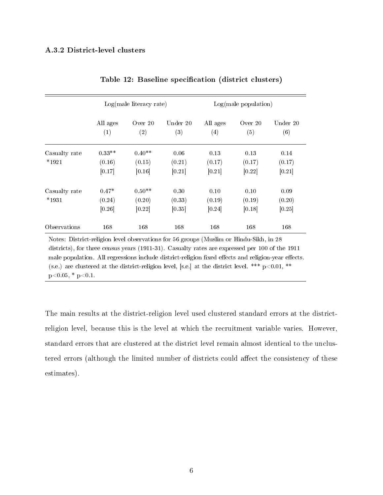### A.3.2 District-level clusters

|                          |                              | $Log(male$ literacy rate)    |                          |                          | Log(male population)     |                          |
|--------------------------|------------------------------|------------------------------|--------------------------|--------------------------|--------------------------|--------------------------|
|                          | All ages<br>(1)              | Over $20$<br>(2)             | Under 20<br>(3)          | All ages<br>(4)          | Over $20$<br>(5)         | Under 20<br>(6)          |
| Casualty rate<br>$*1921$ | $0.33**$<br>(0.16)<br>[0.17] | $0.40**$<br>(0.15)<br>[0.16] | 0.06<br>(0.21)<br>[0.21] | 0.13<br>(0.17)<br>[0.21] | 0.13<br>(0.17)<br>[0.22] | 0.14<br>(0.17)<br>[0.21] |
| Casualty rate<br>$*1931$ | $0.47*$<br>(0.24)<br>[0.26]  | $0.50**$<br>(0.20)<br>[0.22] | 0.30<br>(0.33)<br>[0.35] | 0.10<br>(0.19)<br>[0.24] | 0.10<br>(0.19)<br>[0.18] | 0.09<br>(0.20)<br>[0.25] |
| Observations             | 168                          | 168                          | 168                      | 168                      | 168                      | 168                      |

Table 12: Baseline specification (district clusters)

Notes: District-religion level observations for 56 groups (Muslim or Hindu-Sikh, in 28 districts), for three census years (1911-31). Casualty rates are expressed per 100 of the 1911 male population. All regressions include district-religion fixed effects and religion-year effects. (s.e.) are clustered at the district-religion level, [s.e.] at the district level. \*\*\*  $p<0.01$ , \*\*  $p<0.05$ , \*  $p<0.1$ .

The main results at the district-religion level used clustered standard errors at the districtreligion level, because this is the level at which the recruitment variable varies. However, standard errors that are clustered at the district level remain almost identical to the unclustered errors (although the limited number of districts could affect the consistency of these estimates).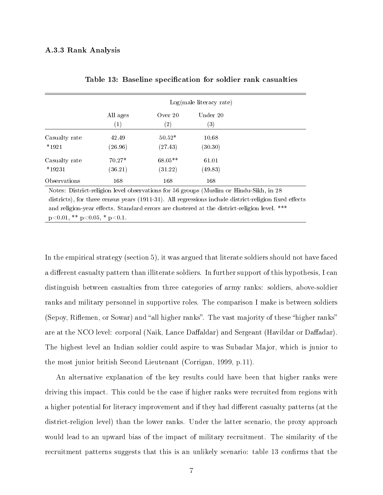### A.3.3 Rank Analysis

|                           |                               |                                | Log(male literacy rate)       |  |
|---------------------------|-------------------------------|--------------------------------|-------------------------------|--|
|                           | All ages<br>$\left( 1\right)$ | Over $20$<br>$\left( 2\right)$ | Under 20<br>$\left( 3\right)$ |  |
| Casualty rate<br>$*1921$  | 42.49<br>(26.96)              | $50.52*$<br>(27.43)            | 10.68<br>(30.30)              |  |
| Casualty rate<br>$*19231$ | $70.27*$<br>(36.21)           | $68.05**$<br>(31.22)           | 61.01<br>(49.83)              |  |
| Observations              | 168                           | 168                            | 168                           |  |

|  |  | Table 13: Baseline specification for soldier rank casualties |  |  |  |  |  |
|--|--|--------------------------------------------------------------|--|--|--|--|--|
|--|--|--------------------------------------------------------------|--|--|--|--|--|

Notes: District-religion level observations for 56 groups (Muslim or Hindu-Sikh, in 28 districts), for three census years  $(1911-31)$ . All regressions include district-religion fixed effects and religion-year effects. Standard errors are clustered at the district-religion level. \*\*\*  $p<0.01$ , \*\*  $p<0.05$ , \*  $p<0.1$ .

In the empirical strategy (section 5), it was argued that literate soldiers should not have faced a different casualty pattern than illiterate soldiers. In further support of this hypothesis, I can distinguish between casualties from three categories of army ranks: soldiers, above-soldier ranks and military personnel in supportive roles. The comparison I make is between soldiers (Sepoy, Riflemen, or Sowar) and "all higher ranks". The vast majority of these "higher ranks" are at the NCO level: corporal (Naik, Lance Daffaldar) and Sergeant (Havildar or Daffadar). The highest level an Indian soldier could aspire to was Subadar Major, which is junior to the most junior british Second Lieutenant (Corrigan, 1999, p.11).

An alternative explanation of the key results could have been that higher ranks were driving this impact. This could be the case if higher ranks were recruited from regions with a higher potential for literacy improvement and if they had different casualty patterns (at the district-religion level) than the lower ranks. Under the latter scenario, the proxy approach would lead to an upward bias of the impact of military recruitment. The similarity of the recruitment patterns suggests that this is an unlikely scenario: table 13 confirms that the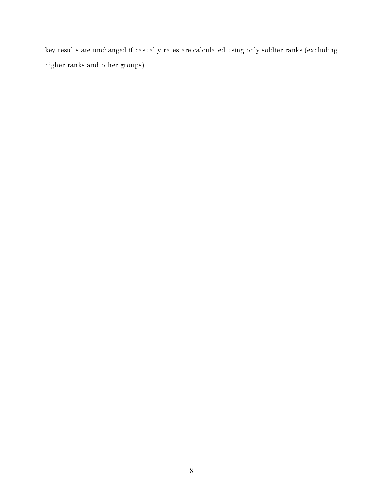key results are unchanged if casualty rates are calculated using only soldier ranks (excluding higher ranks and other groups).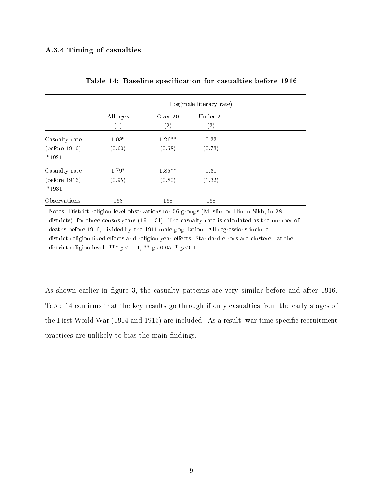### A.3.4 Timing of casualties

|                          |                                                                                        |           | Log(male literacy rate) |                                                                                                 |
|--------------------------|----------------------------------------------------------------------------------------|-----------|-------------------------|-------------------------------------------------------------------------------------------------|
|                          | All ages                                                                               | Over $20$ | Under 20                |                                                                                                 |
|                          | $\left(1\right)$                                                                       | (2)       | (3)                     |                                                                                                 |
| Casualty rate            | $1.08*$                                                                                | $1.26**$  | 0.33                    |                                                                                                 |
| (before 1916)<br>$*1921$ | (0.60)                                                                                 | (0.58)    | (0.73)                  |                                                                                                 |
| Casualty rate            | $1.79*$                                                                                | $1.85**$  | 1.31                    |                                                                                                 |
| (before 1916)<br>$*1931$ | (0.95)                                                                                 | (0.80)    | (1.32)                  |                                                                                                 |
| Observations             | 168                                                                                    | 168       | 168                     |                                                                                                 |
|                          | Notes: District-religion level observations for 56 groups (Muslim or Hindu-Sikh, in 28 |           |                         |                                                                                                 |
|                          |                                                                                        |           |                         | districts), for three census years (1911-31). The casualty rate is calculated as the number of  |
|                          | deaths before 1916, divided by the 1911 male population. All regressions include       |           |                         |                                                                                                 |
|                          |                                                                                        |           |                         | district-religion fixed effects and religion-year effects. Standard errors are clustered at the |

district-religion level. \*\*\*  $p<0.01$ , \*\*  $p<0.05$ , \*  $p<0.1$ .

|  |  | Table 14: Baseline specification for casualties before 1916 |  |  |  |  |
|--|--|-------------------------------------------------------------|--|--|--|--|
|--|--|-------------------------------------------------------------|--|--|--|--|

As shown earlier in figure 3, the casualty patterns are very similar before and after 1916. Table 14 confirms that the key results go through if only casualties from the early stages of the First World War (1914 and 1915) are included. As a result, war-time specific recruitment practices are unlikely to bias the main findings.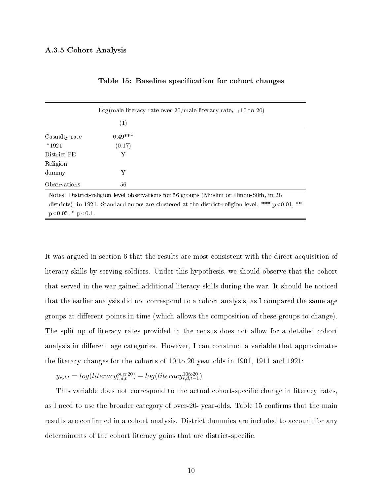|                        |                  | Log(male literacy rate over $20$ /male literacy rate <sub>t-1</sub> 10 to 20)                        |
|------------------------|------------------|------------------------------------------------------------------------------------------------------|
|                        | $\left(1\right)$ |                                                                                                      |
| Casualty rate          | $0.49***$        |                                                                                                      |
| $*1921$                | (0.17)           |                                                                                                      |
| District FE            | Y                |                                                                                                      |
| Religion               |                  |                                                                                                      |
| dummy                  | Y                |                                                                                                      |
| Observations           | 56               |                                                                                                      |
|                        |                  | Notes: District-religion level observations for 56 groups (Muslim or Hindu-Sikh, in 28               |
|                        |                  | districts), in 1921. Standard errors are clustered at the district-religion level. *** $p<0.01$ , ** |
| $p<0.05$ , * $p<0.1$ . |                  |                                                                                                      |

Table 15: Baseline specification for cohort changes

It was argued in section 6 that the results are most consistent with the direct acquisition of literacy skills by serving soldiers. Under this hypothesis, we should observe that the cohort that served in the war gained additional literacy skills during the war. It should be noticed that the earlier analysis did not correspond to a cohort analysis, as I compared the same age groups at different points in time (which allows the composition of these groups to change). The split up of literacy rates provided in the census does not allow for a detailed cohort analysis in different age categories. However, I can construct a variable that approximates the literacy changes for the cohorts of 10-to-20-year-olds in 1901, 1911 and 1921:

 $y_{r,d,t} = log(literacy_{r,d,t}^{over20}) - log(literacy_{r,d,t-1}^{10to20})$ 

This variable does not correspond to the actual cohort-specific change in literacy rates, as I need to use the broader category of over-20- year-olds. Table 15 confirms that the main results are confirmed in a cohort analysis. District dummies are included to account for any determinants of the cohort literacy gains that are district-specific.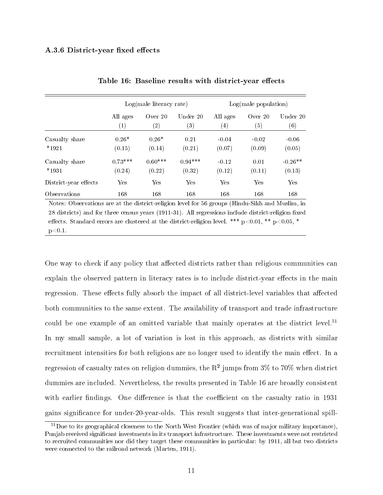### A.3.6 District-year fixed effects

|                       |           | $Log(male$ literacy rate) |           | Log(male population) |           |           |
|-----------------------|-----------|---------------------------|-----------|----------------------|-----------|-----------|
|                       | All ages  | Over $20$                 | Under 20  | All ages             | Over $20$ | Under 20  |
|                       | (1)       | $\left( 2\right)$         | (3)       | $\left(4\right)$     | (5)       | (6)       |
| Casualty share        | $0.26*$   | $0.26*$                   | 0.21      | $-0.04$              | $-0.02$   | $-0.06$   |
| $*1921$               | (0.15)    | (0.14)                    | (0.21)    | (0.07)               | (0.09)    | (0.05)    |
| Casualty share        | $0.73***$ | $0.60***$                 | $0.94***$ | $-0.12$              | 0.01      | $-0.26**$ |
| $*1931$               | (0.24)    | (0.22)                    | (0.32)    | (0.12)               | (0.11)    | (0.13)    |
| District-year effects | Yes       | Yes                       | Yes       | Yes                  | Yes       | Yes       |
| Observations          | 168       | 168                       | 168       | 168                  | 168       | 168       |

Table 16: Baseline results with district-year effects

Notes: Observations are at the district-religion level for 56 groups (Hindu-Sikh and Muslim, in 28 districts) and for three census years (1911-31). All regressions include district-religion fixed effects. Standard errors are clustered at the district-religion level. \*\*\*  $p < 0.01$ , \*\*  $p < 0.05$ , \*  $p<0.1$ .

One way to check if any policy that affected districts rather than religious communities can explain the observed pattern in literacy rates is to include district-year effects in the main regression. These effects fully absorb the impact of all district-level variables that affected both communities to the same extent. The availability of transport and trade infrastructure could be one example of an omitted variable that mainly operates at the district level.<sup>51</sup> In my small sample, a lot of variation is lost in this approach, as districts with similar recruitment intensities for both religions are no longer used to identify the main effect. In a regression of casualty rates on religion dummies, the  $R^2$  jumps from 3% to 70% when district dummies are included. Nevertheless, the results presented in Table 16 are broadly consistent with earlier findings. One difference is that the coefficient on the casualty ratio in 1931 gains signicance for under-20-year-olds. This result suggests that inter-generational spill-

<sup>&</sup>lt;sup>51</sup>Due to its geographical closeness to the North West Frontier (which was of major military importance). Punjab received significant investments in its transport infrastructure. These investments were not restricted to recruited communities nor did they target these communities in particular: by 1911, all but two districts were connected to the railroad network (Marten, 1911).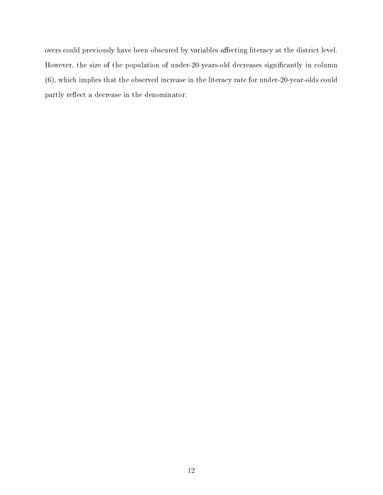overs could previously have been obscured by variables affecting literacy at the district level. However, the size of the population of under-20-years-old decreases significantly in column (6), which implies that the observed increase in the literacy rate for under-20-year-olds could partly reflect a decrease in the denominator.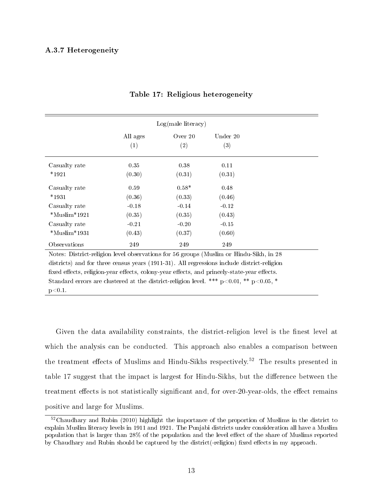### A.3.7 Heterogeneity

|                     |                 | $Log(male$ literacy) |                 |
|---------------------|-----------------|----------------------|-----------------|
|                     | All ages<br>(1) | Over $20$<br>(2)     | Under 20<br>(3) |
| Casualty rate       | 0.35            | 0.38                 | 0.11            |
| $*1921$             | (0.30)          | (0.31)               | (0.31)          |
| Casualty rate       | 0.59            | $0.58*$              | 0.48            |
| $*1931$             | (0.36)          | (0.33)               | (0.46)          |
| Casualty rate       | $-0.18$         | $-0.14$              | $-0.12$         |
| $*$ Muslim $*$ 1921 | (0.35)          | (0.35)               | (0.43)          |
| Casualty rate       | $-0.21$         | $-0.20$              | $-0.15$         |
| $*$ Muslim $*$ 1931 | (0.43)          | (0.37)               | (0.60)          |
| Observations        | 249             | 249                  | 249             |

### Table 17: Religious heterogeneity

Notes: District-religion level observations for 56 groups (Muslim or Hindu-Sikh, in 28 districts) and for three census years (1911-31). All regressions include district-religion fixed effects, religion-year effects, colony-year effects, and princely-state-year effects. Standard errors are clustered at the district-religion level. \*\*\*  $p<0.01$ , \*\*  $p<0.05$ , \*  $p<0.1$ .

Given the data availability constraints, the district-religion level is the finest level at which the analysis can be conducted. This approach also enables a comparison between the treatment effects of Muslims and Hindu-Sikhs respectively.<sup>52</sup> The results presented in table 17 suggest that the impact is largest for Hindu-Sikhs, but the difference between the treatment effects is not statistically significant and, for over-20-year-olds, the effect remains positive and large for Muslims.

<sup>&</sup>lt;sup>52</sup>Chaudhary and Rubin (2010) highlight the importance of the proportion of Muslims in the district to explain Muslim literacy levels in 1911 and 1921. The Punjabi districts under consideration all have a Muslim population that is larger than 28% of the population and the level effect of the share of Muslims reported by Chaudhary and Rubin should be captured by the district(-religion) fixed effects in my approach.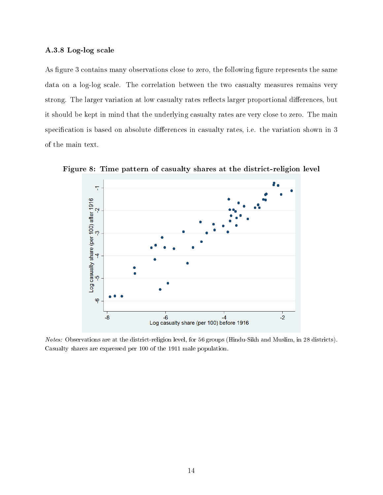#### A.3.8 Log-log scale

As figure 3 contains many observations close to zero, the following figure represents the same data on a log-log scale. The correlation between the two casualty measures remains very strong. The larger variation at low casualty rates reflects larger proportional differences, but it should be kept in mind that the underlying casualty rates are very close to zero. The main specification is based on absolute differences in casualty rates, i.e. the variation shown in 3 of the main text.



Figure 8: Time pattern of casualty shares at the district-religion level

Notes: Observations are at the district-religion level, for 56 groups (Hindu-Sikh and Muslim, in 28 districts). Casualty shares are expressed per 100 of the 1911 male population.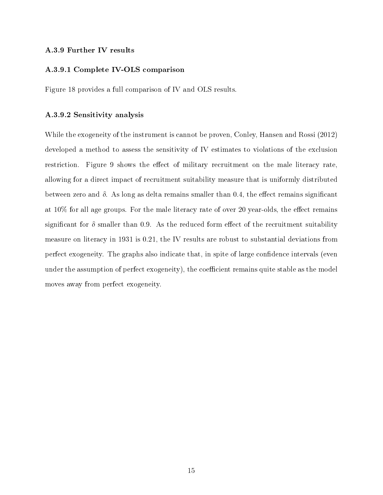#### A.3.9 Further IV results

### A.3.9.1 Complete IV-OLS comparison

Figure 18 provides a full comparison of IV and OLS results.

#### A.3.9.2 Sensitivity analysis

While the exogeneity of the instrument is cannot be proven, Conley, Hansen and Rossi (2012) developed a method to assess the sensitivity of IV estimates to violations of the exclusion restriction. Figure 9 shows the effect of military recruitment on the male literacy rate, allowing for a direct impact of recruitment suitability measure that is uniformly distributed between zero and  $\delta$ . As long as delta remains smaller than 0.4, the effect remains significant at  $10\%$  for all age groups. For the male literacy rate of over 20 year-olds, the effect remains significant for  $\delta$  smaller than 0.9. As the reduced form effect of the recruitment suitability measure on literacy in 1931 is 0.21, the IV results are robust to substantial deviations from perfect exogeneity. The graphs also indicate that, in spite of large confidence intervals (even under the assumption of perfect exogeneity), the coefficient remains quite stable as the model moves away from perfect exogeneity.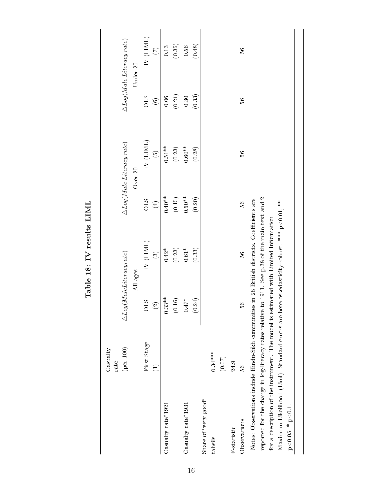|                                                                                                 | Casualty<br>rate   |                                  |                         |             |                                        |         |                                        |
|-------------------------------------------------------------------------------------------------|--------------------|----------------------------------|-------------------------|-------------|----------------------------------------|---------|----------------------------------------|
|                                                                                                 | $(\text{per }100)$ | $\triangle Log(Male Literature)$ |                         |             | $\triangle Log(Male\, Literary\,rate)$ |         | $\triangle Log(Male\, Literary\,rate)$ |
|                                                                                                 |                    |                                  | All ages                |             | Over 20                                |         | Under 20                               |
|                                                                                                 | First Stage        | <b>STO</b>                       | IV (LIML)               | STO         | $\rm IV$ (LIML)                        | STO     | N(LIML)                                |
|                                                                                                 | $\widehat{\Xi}$    | $\odot$                          | $\widehat{\mathcal{O}}$ | $\bigoplus$ | $\widehat{G}$                          | $\odot$ | $\overline{C}$                         |
| Casualty rate* $1921$                                                                           |                    | $0.33**$                         | $0.42*$                 | $0.40**$    | $0.51**$                               | 0.06    | 0.13                                   |
|                                                                                                 |                    | (0.16)                           | (0.23)                  | (0.15)      | (0.23)                                 | (0.21)  | (0.35)                                 |
| Casualty $\text{rate}^{*}1931$                                                                  |                    | $0.47*$                          | $0.61*$                 | $0.50**$    | $0.60**$                               | 0.30    | $0.56\,$                               |
|                                                                                                 |                    | 0.24)                            | (0.33)                  | (0.20)      | (0.28)                                 | (0.33)  | (0.48)                                 |
| Share of "very good"                                                                            |                    |                                  |                         |             |                                        |         |                                        |
| tahsils                                                                                         | $0.34***$          |                                  |                         |             |                                        |         |                                        |
|                                                                                                 | (0.07)             |                                  |                         |             |                                        |         |                                        |
| F-statistic                                                                                     | 24.9               |                                  |                         |             |                                        |         |                                        |
| Observations                                                                                    | 56                 | 56                               | 36                      | 56          | $\frac{6}{2}$                          | 36      | 36                                     |
| Notes: Observations include Hindu-Sikh communities in 28 British districts. Coefficients are    |                    |                                  |                         |             |                                        |         |                                        |
| reported for the change in log-literacy rates relative to 1911. See p.38 of the main text and 2 |                    |                                  |                         |             |                                        |         |                                        |
| for a description of the instrument. The model is estimated with Limited Information            |                    |                                  |                         |             |                                        |         |                                        |
| Maximum Likelihood (Liml). Standard errors are heteroskedasticity-robust. *** p<0.01, **        |                    |                                  |                         |             |                                        |         |                                        |
| $p<0.05, * p<0.1$ .                                                                             |                    |                                  |                         |             |                                        |         |                                        |
|                                                                                                 |                    |                                  |                         |             |                                        |         |                                        |

Table 18: IV results  ${\rm LIML}$ Table 18: IV results LIML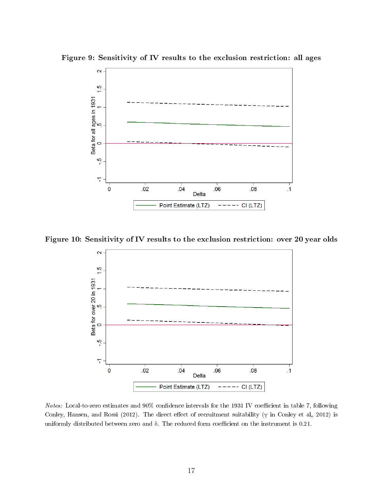

Figure 9: Sensitivity of IV results to the exclusion restriction: all ages

Figure 10: Sensitivity of IV results to the exclusion restriction: over 20 year olds



Notes: Local-to-zero estimates and 90% confidence intervals for the 1931 IV coefficient in table 7, following Conley, Hansen, and Rossi (2012). The direct effect of recruitment suitability ( $\gamma$  in Conley et al., 2012) is uniformly distributed between zero and  $\delta$ . The reduced form coefficient on the instrument is 0.21.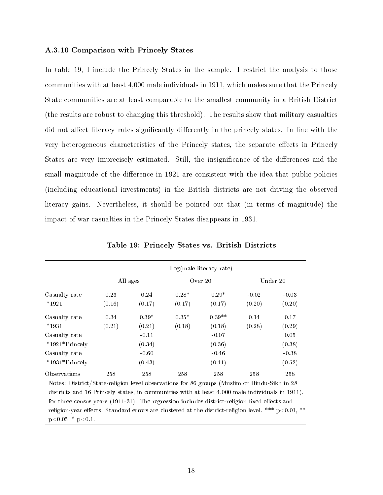#### A.3.10 Comparison with Princely States

In table 19, I include the Princely States in the sample. I restrict the analysis to those communities with at least 4,000 male individuals in 1911, which makes sure that the Princely State communities are at least comparable to the smallest community in a British District (the results are robust to changing this threshold). The results show that military casualties did not affect literacy rates significantly differently in the princely states. In line with the very heterogeneous characteristics of the Princely states, the separate effects in Princely States are very imprecisely estimated. Still, the insignificance of the differences and the small magnitude of the difference in 1921 are consistent with the idea that public policies (including educational investments) in the British districts are not driving the observed literacy gains. Nevertheless, it should be pointed out that (in terms of magnitude) the impact of war casualties in the Princely States disappears in 1931.

|                  |        |          |         | Log(male literacy rate) |         |          |  |
|------------------|--------|----------|---------|-------------------------|---------|----------|--|
|                  |        | All ages |         | Over 20                 |         | Under 20 |  |
| Casualty rate    | 0.23   | 0.24     | $0.28*$ | $0.29*$                 | $-0.02$ | $-0.03$  |  |
| $*1921$          | (0.16) | (0.17)   | (0.17)  | (0.17)                  | (0.20)  | (0.20)   |  |
| Casualty rate    | 0.34   | $0.39*$  | $0.35*$ | $0.39**$                | 0.14    | 0.17     |  |
| $*1931$          | (0.21) | (0.21)   | (0.18)  | (0.18)                  | (0.28)  | (0.29)   |  |
| Casualty rate    |        | $-0.11$  |         | $-0.07$                 |         | 0.05     |  |
| $*1921*Princely$ |        | (0.34)   |         | (0.36)                  |         | (0.38)   |  |
| Casualty rate    |        | $-0.60$  |         | $-0.46$                 |         | $-0.38$  |  |
| $*1931*Princely$ |        | (0.43)   |         | (0.41)                  |         | (0.52)   |  |
| Observations     | 258    | 258      | 258     | 258                     | 258     | 258      |  |

Table 19: Princely States vs. British Districts

Notes: District/State-religion level observations for 86 groups (Muslim or Hindu-Sikh in 28 districts and 16 Princely states, in communities with at least 4,000 male individuals in 1911), for three census years  $(1911-31)$ . The regression includes district-religion fixed effects and religion-year effects. Standard errors are clustered at the district-religion level. \*\*\*  $p<0.01$ , \*\*  $p<0.05$ , \*  $p<0.1$ .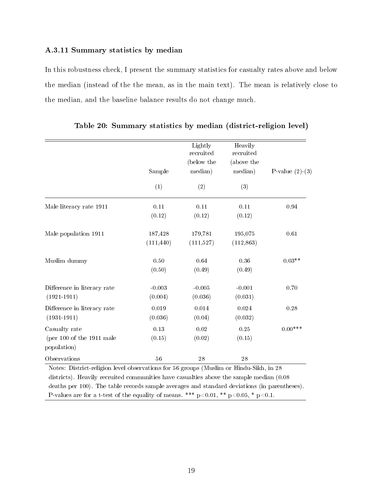### A.3.11 Summary statistics by median

In this robustness check, I present the summary statistics for casualty rates above and below the median (instead of the the mean, as in the main text). The mean is relatively close to the median, and the baseline balance results do not change much.

|                                                                                                                                                                                                    | Sample                | Lightly<br>recruited<br>(below the<br>median) | Heavily<br>recruited<br>(above the<br>median) | P-value $(2)-(3)$ |
|----------------------------------------------------------------------------------------------------------------------------------------------------------------------------------------------------|-----------------------|-----------------------------------------------|-----------------------------------------------|-------------------|
|                                                                                                                                                                                                    | (1)                   | (2)                                           | (3)                                           |                   |
| Male literacy rate 1911                                                                                                                                                                            | 0.11<br>(0.12)        | 0.11<br>(0.12)                                | 0.11<br>(0.12)                                | 0.94              |
| Male population 1911                                                                                                                                                                               | 187,428<br>(111, 440) | 179,781<br>(111,527)                          | 195,075<br>(112, 863)                         | 0.61              |
| Muslim dummy                                                                                                                                                                                       | 0.50<br>(0.50)        | 0.64<br>(0.49)                                | 0.36<br>(0.49)                                | $0.03**$          |
| Difference in literacy rate<br>$(1921 - 1911)$                                                                                                                                                     | $-0.003$<br>(0.004)   | $-0.005$<br>(0.036)                           | $-0.001$<br>(0.031)                           | 0.70              |
| Difference in literacy rate<br>$(1931 - 1911)$                                                                                                                                                     | 0.019<br>(0.036)      | 0.014<br>(0.04)                               | 0.024<br>(0.032)                              | 0.28              |
| Casualty rate<br>(per $100$ of the $1911$ male<br>population)                                                                                                                                      | 0.13<br>(0.15)        | 0.02<br>(0.02)                                | 0.25<br>(0.15)                                | $0.00$ ***        |
| Observations<br>Notes: District-religion level observations for 56 groups (Muslim or Hindu-Sikh, in 28<br>districts). Heavily recruited communities have casualties above the sample median (0.08) | 56                    | 28                                            | 28                                            |                   |

Table 20: Summary statistics by median (district-religion level)

deaths per 100). The table records sample averages and standard deviations (in parentheses). P-values are for a t-test of the equality of means. \*\*\* p<0.01, \*\* p<0.05, \* p<0.1.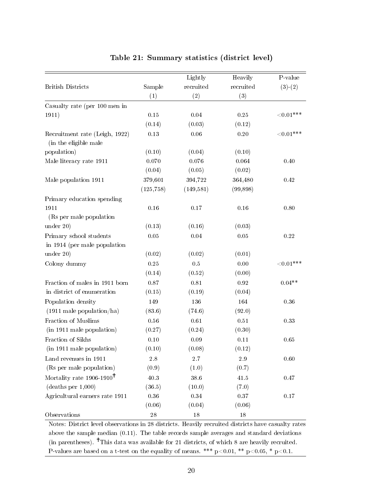|                                                         |             | Lightly    | Heavily   | P-value      |
|---------------------------------------------------------|-------------|------------|-----------|--------------|
| <b>British Districts</b>                                | Sample      | recruited  | recruited | $(3)-(2)$    |
|                                                         | (1)         | (2)        | (3)       |              |
| Casualty rate (per 100 men in                           |             |            |           |              |
| 1911)                                                   | $0.15\,$    | $0.04\,$   | $0.25\,$  | ${<}0.01***$ |
|                                                         | (0.14)      | (0.03)     | (0.12)    |              |
| Recruitment rate (Leigh, 1922)<br>(in the eligible male | 0.13        | 0.06       | 0.20      | ${<}0.01***$ |
| population)                                             | (0.10)      | (0.04)     | (0.10)    |              |
| Male literacy rate 1911                                 | 0.070       | 0.076      | 0.064     | 0.40         |
|                                                         | (0.04)      | (0.05)     | (0.02)    |              |
| Male population 1911                                    | 379,601     | 394,722    | 364,480   | 0.42         |
|                                                         | (125, 758)  | (149, 581) | (99, 898) |              |
| Primary education spending                              |             |            |           |              |
| 1911<br>(Rs per male population)                        | $0.16\,$    | $0.17\,$   | 0.16      | 0.80         |
| under 20)                                               | (0.13)      | (0.16)     | (0.03)    |              |
| Primary school students                                 | 0.05        | 0.04       | 0.05      | 0.22         |
| in 1914 (per male population                            |             |            |           |              |
| under 20)                                               | (0.02)      | (0.02)     | (0.01)    |              |
| Colony dummy                                            | 0.25        | 0.5        | 0.00      | ${<}0.01***$ |
|                                                         | (0.14)      | (0.52)     | (0.00)    |              |
| Fraction of males in 1911 born                          | 0.87        | $0.81\,$   | $0.92\,$  | $0.04**$     |
| in district of enumeration                              | (0.15)      | (0.19)     | (0.04)    |              |
| Population density                                      | 149         | 136        | 164       | 0.36         |
| $(1911 \text{ male population/ha})$                     | (83.6)      | (74.6)     | (92.0)    |              |
| Fraction of Muslims                                     | 0.56        | 0.61       | 0.51      | 0.33         |
| (in 1911 male population)                               | (0.27)      | (0.24)     | (0.30)    |              |
| Fraction of Sikhs                                       | 0.10        | 0.09       | 0.11      | 0.65         |
| (in 1911 male population)                               | (0.10)      | (0.08)     | (0.12)    |              |
| Land revenues in 1911                                   | 2.8         | 2.7        | 2.9       | 0.60         |
| (Rs per male population)                                | (0.9)       | (1.0)      | (0.7)     |              |
| Mortality rate $1906-1910^{\dagger}$                    | 40.3        | $38.6\,$   | 41.5      | 0.47         |
| (deaths per 1,000)                                      | (36.5)      | (10.0)     | (7.0)     |              |
| Agricultural earners rate 1911                          | $0.36\,$    | $0.34\,$   | 0.37      | $0.17\,$     |
|                                                         | (0.06)      | (0.04)     | (0.06)    |              |
| Observations                                            | $\sqrt{28}$ | 18         | 18        |              |

### Table 21: Summary statistics (district level)

Notes: District level observations in 28 districts. Heavily recruited districts have casualty rates above the sample median (0.11). The table records sample averages and standard deviations (in parentheses).  $\dagger$ This data was available for 21 districts, of which 8 are heavily recruited. P-values are based on a t-test on the equality of means. \*\*\* p<0.01, \*\* p<0.05, \* p<0.1.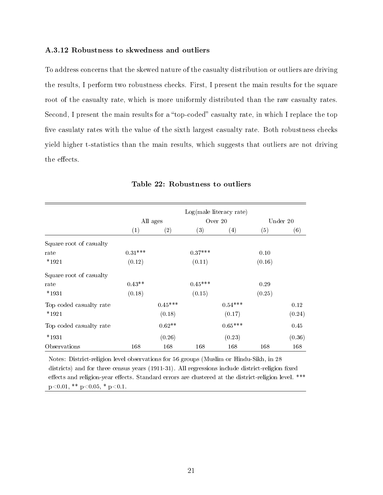### A.3.12 Robustness to skwedness and outliers

To address concerns that the skewed nature of the casualty distribution or outliers are driving the results, I perform two robustness checks. First, I present the main results for the square root of the casualty rate, which is more uniformly distributed than the raw casualty rates. Second, I present the main results for a "top-coded" casualty rate, in which I replace the top five casulaty rates with the value of the sixth largest casualty rate. Both robustness checks yield higher t-statistics than the main results, which suggests that outliers are not driving the effects.

|                         |           |           |           | $Log(male$ literacy rate) |        |          |
|-------------------------|-----------|-----------|-----------|---------------------------|--------|----------|
|                         |           | All ages  |           | Over $20$                 |        | Under 20 |
|                         | (1)       | (2)       | (3)       | $\left(4\right)$          | (5)    | (6)      |
| Square root of casualty |           |           |           |                           |        |          |
| rate                    | $0.31***$ |           | $0.37***$ |                           | 0.10   |          |
| $*1921$                 | (0.12)    |           | (0.11)    |                           | (0.16) |          |
| Square root of casualty |           |           |           |                           |        |          |
| rate                    | $0.43**$  |           | $0.45***$ |                           | 0.29   |          |
| $*1931$                 | (0.18)    |           | (0.15)    |                           | (0.25) |          |
| Top coded casualty rate |           | $0.45***$ |           | $0.54***$                 |        | 0.12     |
| $*1921$                 |           | (0.18)    |           | (0.17)                    |        | (0.24)   |
| Top coded casualty rate |           | $0.62**$  |           | $0.65***$                 |        | 0.45     |
| $*1931$                 |           | (0.26)    |           | (0.23)                    |        | (0.36)   |
| Observations            | 168       | 168       | 168       | 168                       | 168    | 168      |

#### Table 22: Robustness to outliers

Notes: District-religion level observations for 56 groups (Muslim or Hindu-Sikh, in 28 districts) and for three census years (1911-31). All regressions include district-religion fixed effects and religion-year effects. Standard errors are clustered at the district-religion level. \*\*\*  $p<0.01$ , \*\*  $p<0.05$ , \*  $p<0.1$ .